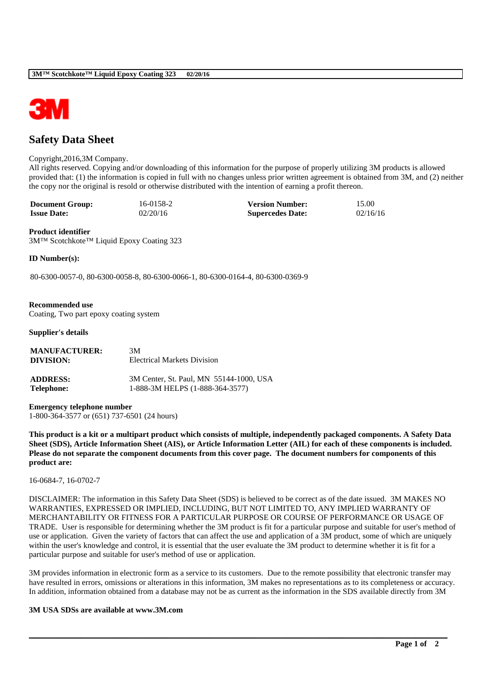

# **Safety Data Sheet**

#### Copyright,2016,3M Company.

All rights reserved. Copying and/or downloading of this information for the purpose of properly utilizing 3M products is allowed provided that: (1) the information is copied in full with no changes unless prior written agreement is obtained from 3M, and (2) neither the copy nor the original is resold or otherwise distributed with the intention of earning a profit thereon.

| <b>Document Group:</b> | 16-0158-2 | <b>Version Number:</b>  | 15.00    |
|------------------------|-----------|-------------------------|----------|
| <b>Issue Date:</b>     | 02/20/16  | <b>Supercedes Date:</b> | 02/16/16 |

#### **Product identifier**

3M™ Scotchkote™ Liquid Epoxy Coating 323

**ID Number(s):**

80-6300-0057-0, 80-6300-0058-8, 80-6300-0066-1, 80-6300-0164-4, 80-6300-0369-9

#### **Recommended use**

Coating, Two part epoxy coating system

**Supplier's details**

| <b>MANUFACTURER:</b> | 3M                                      |
|----------------------|-----------------------------------------|
| DIVISION:            | Electrical Markets Division             |
| <b>ADDRESS:</b>      | 3M Center, St. Paul, MN 55144-1000, USA |
| <b>Telephone:</b>    | 1-888-3M HELPS (1-888-364-3577)         |

**Emergency telephone number** 1-800-364-3577 or (651) 737-6501 (24 hours)

**This product is a kit or a multipart product which consists of multiple, independently packaged components. A Safety Data Sheet (SDS), Article Information Sheet (AIS), or Article Information Letter (AIL) for each of these components is included. Please do not separate the component documents from this cover page. The document numbers for components of this product are:** 

16-0684-7, 16-0702-7

DISCLAIMER: The information in this Safety Data Sheet (SDS) is believed to be correct as of the date issued. 3M MAKES NO WARRANTIES, EXPRESSED OR IMPLIED, INCLUDING, BUT NOT LIMITED TO, ANY IMPLIED WARRANTY OF MERCHANTABILITY OR FITNESS FOR A PARTICULAR PURPOSE OR COURSE OF PERFORMANCE OR USAGE OF TRADE. User is responsible for determining whether the 3M product is fit for a particular purpose and suitable for user's method of use or application. Given the variety of factors that can affect the use and application of a 3M product, some of which are uniquely within the user's knowledge and control, it is essential that the user evaluate the 3M product to determine whether it is fit for a particular purpose and suitable for user's method of use or application.

3M provides information in electronic form as a service to its customers. Due to the remote possibility that electronic transfer may have resulted in errors, omissions or alterations in this information, 3M makes no representations as to its completeness or accuracy. In addition, information obtained from a database may not be as current as the information in the SDS available directly from 3M

**\_\_\_\_\_\_\_\_\_\_\_\_\_\_\_\_\_\_\_\_\_\_\_\_\_\_\_\_\_\_\_\_\_\_\_\_\_\_\_\_\_\_\_\_\_\_\_\_\_\_\_\_\_\_\_\_\_\_\_\_\_\_\_\_\_\_\_\_\_\_\_\_\_\_\_\_\_\_\_\_\_\_\_\_\_\_\_\_\_\_\_\_\_\_\_\_\_\_\_\_\_\_\_\_**

## **3M USA SDSs are available at www.3M.com**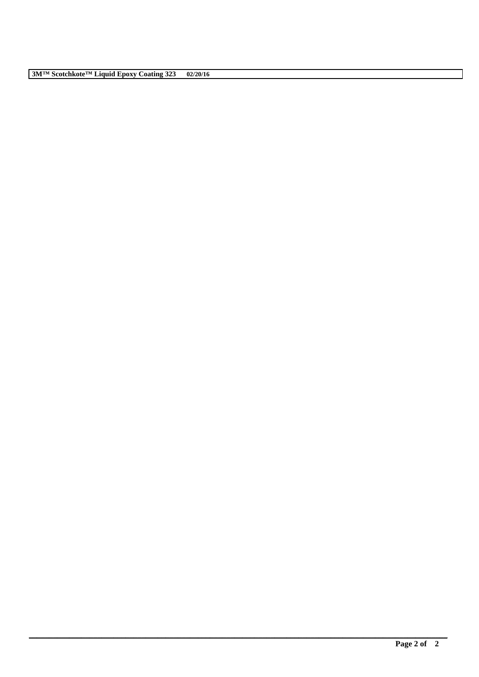**3M™ Scotchkote™ Liquid Epoxy Coating 323 02/20/16**

**\_\_\_\_\_\_\_\_\_\_\_\_\_\_\_\_\_\_\_\_\_\_\_\_\_\_\_\_\_\_\_\_\_\_\_\_\_\_\_\_\_\_\_\_\_\_\_\_\_\_\_\_\_\_\_\_\_\_\_\_\_\_\_\_\_\_\_\_\_\_\_\_\_\_\_\_\_\_\_\_\_\_\_\_\_\_\_\_\_\_\_\_\_\_\_\_\_\_\_\_\_\_\_\_**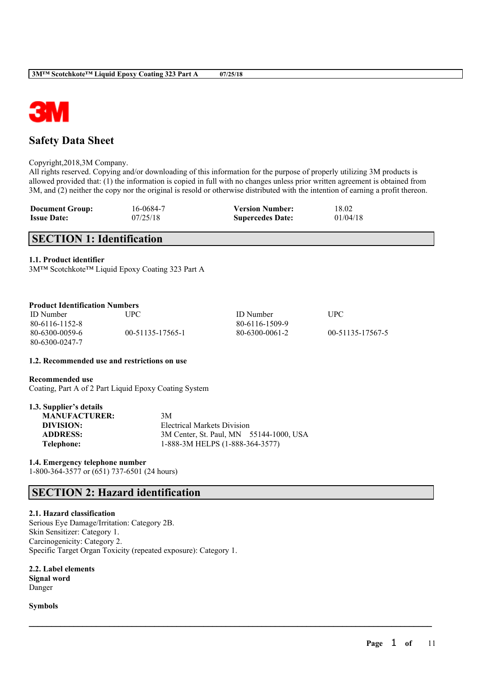

# **Safety Data Sheet**

Copyright,2018,3M Company.

All rights reserved. Copying and/or downloading of this information for the purpose of properly utilizing 3M products is allowed provided that: (1) the information is copied in full with no changes unless prior written agreement is obtained from 3M, and (2) neither the copy nor the original is resold or otherwise distributed with the intention of earning a profit thereon.

| <b>Document Group:</b> | 16-0684-7 | <b>Version Number:</b>  | 18.02    |
|------------------------|-----------|-------------------------|----------|
| <b>Issue Date:</b>     | 07/25/18  | <b>Supercedes Date:</b> | 01/04/18 |

# **SECTION 1: Identification**

#### **1.1. Product identifier**

3M™ Scotchkote™ Liquid Epoxy Coating 323 Part A

| <b>ID</b> Number | <b>UPC</b>         | <b>ID</b> Number | UPC              |
|------------------|--------------------|------------------|------------------|
| 80-6116-1152-8   |                    | 80-6116-1509-9   |                  |
| 80-6300-0059-6   | $00-51135-17565-1$ | 80-6300-0061-2   | 00-51135-17567-5 |
| 80-6300-0247-7   |                    |                  |                  |

 $\mathcal{L}_\mathcal{L} = \mathcal{L}_\mathcal{L} = \mathcal{L}_\mathcal{L} = \mathcal{L}_\mathcal{L} = \mathcal{L}_\mathcal{L} = \mathcal{L}_\mathcal{L} = \mathcal{L}_\mathcal{L} = \mathcal{L}_\mathcal{L} = \mathcal{L}_\mathcal{L} = \mathcal{L}_\mathcal{L} = \mathcal{L}_\mathcal{L} = \mathcal{L}_\mathcal{L} = \mathcal{L}_\mathcal{L} = \mathcal{L}_\mathcal{L} = \mathcal{L}_\mathcal{L} = \mathcal{L}_\mathcal{L} = \mathcal{L}_\mathcal{L}$ 

#### **1.2. Recommended use and restrictions on use**

#### **Recommended use**

Coating, Part A of 2 Part Liquid Epoxy Coating System

| 1.3. Supplier's details |                                         |  |  |
|-------------------------|-----------------------------------------|--|--|
| <b>MANUFACTURER:</b>    | 3M                                      |  |  |
| DIVISION:               | Electrical Markets Division             |  |  |
| <b>ADDRESS:</b>         | 3M Center, St. Paul, MN 55144-1000, USA |  |  |
| Telephone:              | 1-888-3M HELPS (1-888-364-3577)         |  |  |

**1.4. Emergency telephone number**

1-800-364-3577 or (651) 737-6501 (24 hours)

# **SECTION 2: Hazard identification**

#### **2.1. Hazard classification**

Serious Eye Damage/Irritation: Category 2B. Skin Sensitizer: Category 1. Carcinogenicity: Category 2. Specific Target Organ Toxicity (repeated exposure): Category 1.

**2.2. Label elements**

**Signal word** Danger

**Symbols**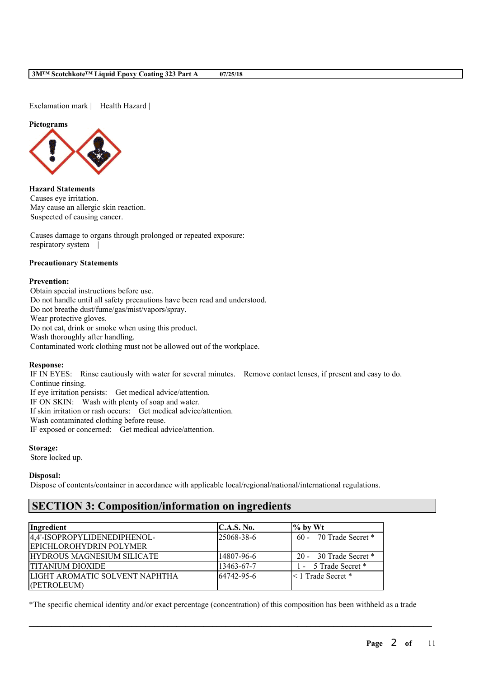Exclamation mark | Health Hazard |

#### **Pictograms**



**Hazard Statements** Causes eye irritation. May cause an allergic skin reaction. Suspected of causing cancer.

Causes damage to organs through prolonged or repeated exposure: respiratory system |

#### **Precautionary Statements**

#### **Prevention:**

Obtain special instructions before use. Do not handle until all safety precautions have been read and understood. Do not breathe dust/fume/gas/mist/vapors/spray. Wear protective gloves. Do not eat, drink or smoke when using this product. Wash thoroughly after handling. Contaminated work clothing must not be allowed out of the workplace.

#### **Response:**

IF IN EYES: Rinse cautiously with water for several minutes. Remove contact lenses, if present and easy to do. Continue rinsing.

If eye irritation persists: Get medical advice/attention.

IF ON SKIN: Wash with plenty of soap and water.

If skin irritation or rash occurs: Get medical advice/attention.

Wash contaminated clothing before reuse.

IF exposed or concerned: Get medical advice/attention.

#### **Storage:**

Store locked up.

#### **Disposal:**

Dispose of contents/container in accordance with applicable local/regional/national/international regulations.

# **SECTION 3: Composition/information on ingredients**

| Ingredient                             | <b>C.A.S. No.</b> | $\%$ by Wt                 |
|----------------------------------------|-------------------|----------------------------|
| 4,4'-ISOPROPYLIDENEDIPHENOL-           | 25068-38-6        | $60 - 70$ Trade Secret $*$ |
| EPICHLOROHYDRIN POLYMER                |                   |                            |
| <b>HYDROUS MAGNESIUM SILICATE</b>      | 14807-96-6        | 20 - 30 Trade Secret *     |
| <b>TITANIUM DIOXIDE</b>                | 13463-67-7        | 1 - 5 Trade Secret *       |
| <b>ILIGHT AROMATIC SOLVENT NAPHTHA</b> | 64742-95-6        | $\leq 1$ Trade Secret *    |
| (PETROLEUM)                            |                   |                            |

\*The specific chemical identity and/or exact percentage (concentration) of this composition has been withheld as a trade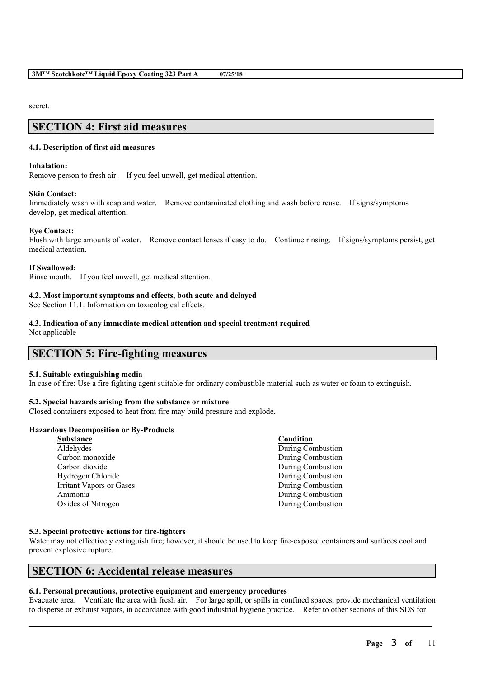secret.

# **SECTION 4: First aid measures**

## **4.1. Description of first aid measures**

#### **Inhalation:**

Remove person to fresh air. If you feel unwell, get medical attention.

#### **Skin Contact:**

Immediately wash with soap and water. Remove contaminated clothing and wash before reuse. If signs/symptoms develop, get medical attention.

#### **Eye Contact:**

Flush with large amounts of water. Remove contact lenses if easy to do. Continue rinsing. If signs/symptoms persist, get medical attention.

#### **If Swallowed:**

Rinse mouth. If you feel unwell, get medical attention.

#### **4.2. Most important symptoms and effects, both acute and delayed**

See Section 11.1. Information on toxicological effects.

#### **4.3. Indication of any immediate medical attention and special treatment required**

Not applicable

# **SECTION 5: Fire-fighting measures**

#### **5.1. Suitable extinguishing media**

In case of fire: Use a fire fighting agent suitable for ordinary combustible material such as water or foam to extinguish.

#### **5.2. Special hazards arising from the substance or mixture**

Closed containers exposed to heat from fire may build pressure and explode.

#### **Hazardous Decomposition or By-Products**

| Substance                | Condition                |
|--------------------------|--------------------------|
| Aldehydes                | During Combustion        |
| Carbon monoxide          | During Combustion        |
| Carbon dioxide           | <b>During Combustion</b> |
| Hydrogen Chloride        | During Combustion        |
| Irritant Vapors or Gases | <b>During Combustion</b> |
| Ammonia                  | <b>During Combustion</b> |
| Oxides of Nitrogen       | <b>During Combustion</b> |
|                          |                          |

#### **5.3. Special protective actions for fire-fighters**

Water may not effectively extinguish fire; however, it should be used to keep fire-exposed containers and surfaces cool and prevent explosive rupture.

## **SECTION 6: Accidental release measures**

#### **6.1. Personal precautions, protective equipment and emergency procedures**

Evacuate area. Ventilate the area with fresh air. For large spill, or spills in confined spaces, provide mechanical ventilation to disperse or exhaust vapors, in accordance with good industrial hygiene practice. Refer to other sections of this SDS for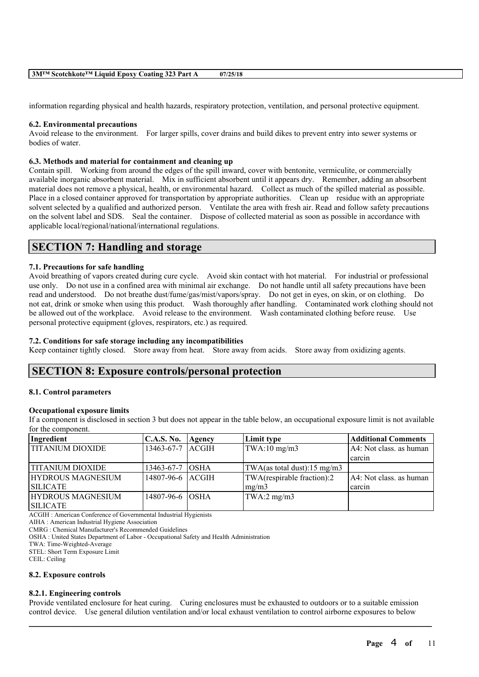information regarding physical and health hazards, respiratory protection, ventilation, and personal protective equipment.

#### **6.2. Environmental precautions**

Avoid release to the environment. For larger spills, cover drains and build dikes to prevent entry into sewer systems or bodies of water.

#### **6.3. Methods and material for containment and cleaning up**

Contain spill. Working from around the edges of the spill inward, cover with bentonite, vermiculite, or commercially available inorganic absorbent material. Mix in sufficient absorbent until it appears dry. Remember, adding an absorbent material does not remove a physical, health, or environmental hazard. Collect as much of the spilled material as possible. Place in a closed container approved for transportation by appropriate authorities. Clean up residue with an appropriate solvent selected by a qualified and authorized person. Ventilate the area with fresh air. Read and follow safety precautions on the solvent label and SDS. Seal the container. Dispose of collected material as soon as possible in accordance with applicable local/regional/national/international regulations.

# **SECTION 7: Handling and storage**

#### **7.1. Precautions for safe handling**

Avoid breathing of vapors created during cure cycle. Avoid skin contact with hot material. For industrial or professional use only. Do not use in a confined area with minimal air exchange. Do not handle until all safety precautions have been read and understood. Do not breathe dust/fume/gas/mist/vapors/spray. Do not get in eyes, on skin, or on clothing. Do not eat, drink or smoke when using this product. Wash thoroughly after handling. Contaminated work clothing should not be allowed out of the workplace. Avoid release to the environment. Wash contaminated clothing before reuse. Use personal protective equipment (gloves, respirators, etc.) as required.

#### **7.2. Conditions for safe storage including any incompatibilities**

Keep container tightly closed. Store away from heat. Store away from acids. Store away from oxidizing agents.

## **SECTION 8: Exposure controls/personal protection**

#### **8.1. Control parameters**

#### **Occupational exposure limits**

If a component is disclosed in section 3 but does not appear in the table below, an occupational exposure limit is not available for the component.

| Ingredient               | <b>C.A.S. No.</b>        | Agency | Limit type                    | <b>Additional Comments</b> |
|--------------------------|--------------------------|--------|-------------------------------|----------------------------|
| <b>TITANIUM DIOXIDE</b>  | 13463-67-7 ACGIH         |        | $\text{TWA}:10 \text{ mg/m3}$ | A4: Not class. as human    |
|                          |                          |        |                               | carcin                     |
| TITANIUM DIOXIDE         | $13463-67-7$ $\log_{10}$ |        | TWA(as total dust):15 mg/m3   |                            |
| <b>HYDROUS MAGNESIUM</b> | 14807-96-6 ACGIH         |        | TWA(respirable fraction):2    | A4: Not class. as human    |
| <b>SILICATE</b>          |                          |        | mg/m3                         | l carcin                   |
| <b>HYDROUS MAGNESIUM</b> | 14807-96-6 OSHA          |        | $\text{TWA:2 mg/m3}$          |                            |
| <b>SILICATE</b>          |                          |        |                               |                            |

ACGIH : American Conference of Governmental Industrial Hygienists

AIHA : American Industrial Hygiene Association

CMRG : Chemical Manufacturer's Recommended Guidelines

OSHA : United States Department of Labor - Occupational Safety and Health Administration

TWA: Time-Weighted-Average

STEL: Short Term Exposure Limit

CEIL: Ceiling

#### **8.2. Exposure controls**

#### **8.2.1. Engineering controls**

Provide ventilated enclosure for heat curing. Curing enclosures must be exhausted to outdoors or to a suitable emission control device. Use general dilution ventilation and/or local exhaust ventilation to control airborne exposures to below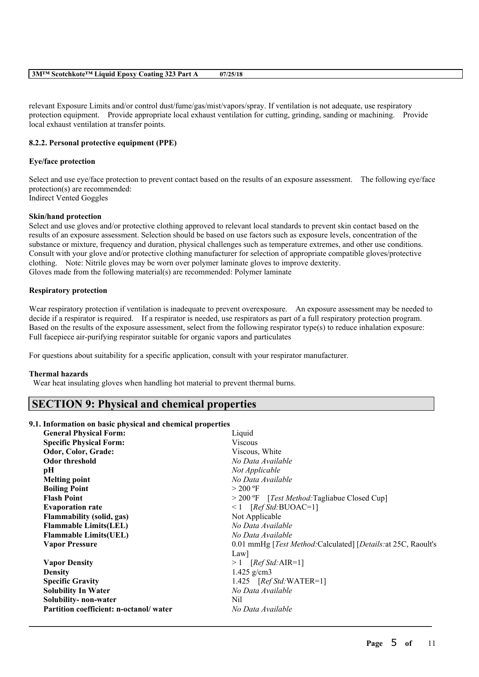relevant Exposure Limits and/or control dust/fume/gas/mist/vapors/spray. If ventilation is not adequate, use respiratory protection equipment. Provide appropriate local exhaust ventilation for cutting, grinding, sanding or machining. Provide local exhaust ventilation at transfer points.

#### **8.2.2. Personal protective equipment (PPE)**

#### **Eye/face protection**

Select and use eye/face protection to prevent contact based on the results of an exposure assessment. The following eye/face protection(s) are recommended: Indirect Vented Goggles

#### **Skin/hand protection**

Select and use gloves and/or protective clothing approved to relevant local standards to prevent skin contact based on the results of an exposure assessment. Selection should be based on use factors such as exposure levels, concentration of the substance or mixture, frequency and duration, physical challenges such as temperature extremes, and other use conditions. Consult with your glove and/or protective clothing manufacturer for selection of appropriate compatible gloves/protective clothing. Note: Nitrile gloves may be worn over polymer laminate gloves to improve dexterity. Gloves made from the following material(s) are recommended: Polymer laminate

#### **Respiratory protection**

Wear respiratory protection if ventilation is inadequate to prevent overexposure. An exposure assessment may be needed to decide if a respirator is required. If a respirator is needed, use respirators as part of a full respiratory protection program. Based on the results of the exposure assessment, select from the following respirator type(s) to reduce inhalation exposure: Full facepiece air-purifying respirator suitable for organic vapors and particulates

For questions about suitability for a specific application, consult with your respirator manufacturer.

#### **Thermal hazards**

Wear heat insulating gloves when handling hot material to prevent thermal burns.

## **SECTION 9: Physical and chemical properties**

#### **9.1. Information on basic physical and chemical properties**

| <b>General Physical Form:</b>          | Liquid                                                                        |  |  |
|----------------------------------------|-------------------------------------------------------------------------------|--|--|
| <b>Specific Physical Form:</b>         | <b>Viscous</b>                                                                |  |  |
| Odor, Color, Grade:                    | Viscous, White                                                                |  |  |
| <b>Odor threshold</b>                  | No Data Available                                                             |  |  |
| pН                                     | Not Applicable                                                                |  |  |
| <b>Melting point</b>                   | No Data Available                                                             |  |  |
| <b>Boiling Point</b>                   | $>$ 200 °F                                                                    |  |  |
| <b>Flash Point</b>                     | $>$ 200 °F [ <i>Test Method:</i> Tagliabue Closed Cup]                        |  |  |
| <b>Evaporation rate</b>                | $\leq 1$ [Ref Std: BUOAC=1]                                                   |  |  |
| <b>Flammability (solid, gas)</b>       | Not Applicable                                                                |  |  |
| <b>Flammable Limits(LEL)</b>           | No Data Available                                                             |  |  |
| <b>Flammable Limits(UEL)</b>           | No Data Available                                                             |  |  |
| <b>Vapor Pressure</b>                  | 0.01 mmHg [ <i>Test Method:Calculated</i> ] [ <i>Details:at 25C, Raoult's</i> |  |  |
|                                        | Law]                                                                          |  |  |
| <b>Vapor Density</b>                   | $>1$ [Ref Std:AIR=1]                                                          |  |  |
| <b>Density</b>                         | $1.425$ g/cm3                                                                 |  |  |
| <b>Specific Gravity</b>                | 1.425 $[RefStd:WATER=1]$                                                      |  |  |
| <b>Solubility In Water</b>             | No Data Available                                                             |  |  |
| Solubility- non-water                  | Nil                                                                           |  |  |
| Partition coefficient: n-octanol/water | No Data Available                                                             |  |  |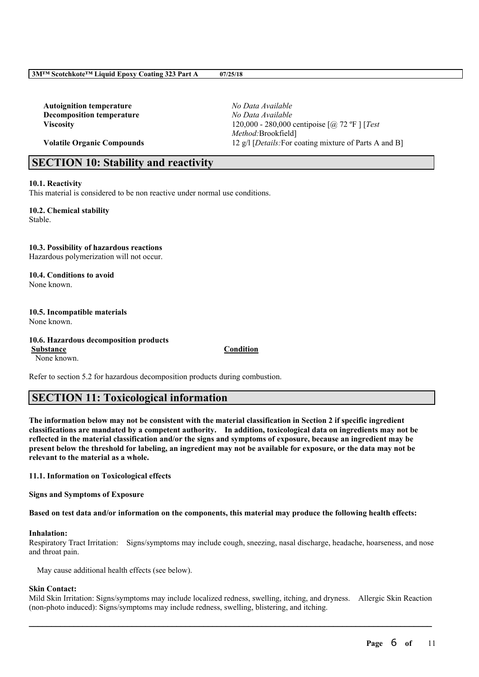**Autoignition temperature** *No Data Available* **Decomposition temperature** *No Data Available*

**Viscosity** 120,000 - 280,000 centipoise [@ 72 ºF ] [*Test Method:*Brookfield] **Volatile Organic Compounds** 12 g/l [*Details:* For coating mixture of Parts A and B]

# **SECTION 10: Stability and reactivity**

#### **10.1. Reactivity**

This material is considered to be non reactive under normal use conditions.

**10.2. Chemical stability** Stable.

#### **10.3. Possibility of hazardous reactions** Hazardous polymerization will not occur.

**10.4. Conditions to avoid** None known.

**10.5. Incompatible materials** None known.

**10.6. Hazardous decomposition products Substance Condition** None known.

Refer to section 5.2 for hazardous decomposition products during combustion.

# **SECTION 11: Toxicological information**

The information below may not be consistent with the material classification in Section 2 if specific ingredient **classifications are mandated by a competent authority. In addition, toxicological data on ingredients may not be** reflected in the material classification and/or the signs and symptoms of exposure, because an ingredient may be present below the threshold for labeling, an ingredient may not be available for exposure, or the data may not be **relevant to the material as a whole.**

#### **11.1. Information on Toxicological effects**

**Signs and Symptoms of Exposure**

Based on test data and/or information on the components, this material may produce the following health effects:

#### **Inhalation:**

Respiratory Tract Irritation: Signs/symptoms may include cough, sneezing, nasal discharge, headache, hoarseness, and nose and throat pain.

May cause additional health effects (see below).

## **Skin Contact:**

Mild Skin Irritation: Signs/symptoms may include localized redness, swelling, itching, and dryness. Allergic Skin Reaction (non-photo induced): Signs/symptoms may include redness, swelling, blistering, and itching.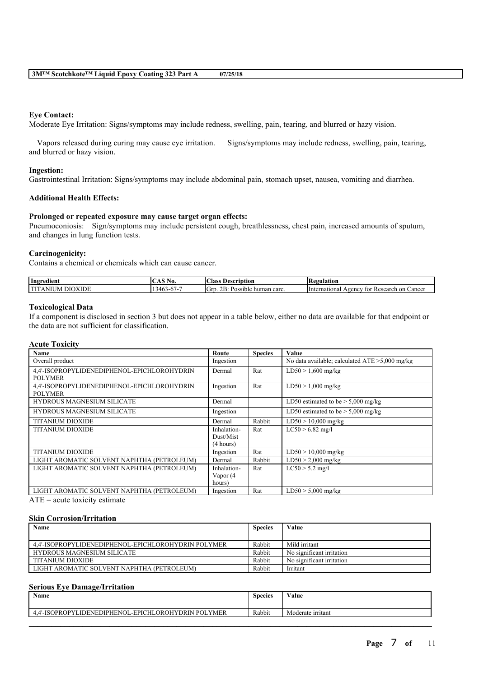#### **Eye Contact:**

Moderate Eye Irritation: Signs/symptoms may include redness, swelling, pain, tearing, and blurred or hazy vision.

Vapors released during curing may cause eye irritation. Signs/symptoms may include redness, swelling, pain, tearing, and blurred or hazy vision.

#### **Ingestion:**

Gastrointestinal Irritation: Signs/symptoms may include abdominal pain, stomach upset, nausea, vomiting and diarrhea.

#### **Additional Health Effects:**

#### **Prolonged or repeated exposure may cause target organ effects:**

Pneumoconiosis: Sign/symptoms may include persistent cough, breathlessness, chest pain, increased amounts of sputum, and changes in lung function tests.

#### **Carcinogenicity:**

Contains a chemical or chemicals which can cause cancer.

| Ingredient                                                 | $\sim$ $\sim$ $\sim$<br>$\sim$<br>180.<br><b>AD</b> | $\sim$<br>Aass<br>*scription<br>-Desci                                  | <b><cgulation< b=""><br/>IXC</cgulation<></b>                         |
|------------------------------------------------------------|-----------------------------------------------------|-------------------------------------------------------------------------|-----------------------------------------------------------------------|
| <b>CONTACT</b><br>'YIDE<br>$_{\rm H}$<br>N<br>$\mathbf{a}$ | 3/16<br>$-0/1$<br>᠇୰<br>Ψ.                          | $\sqrt{2}$<br>OR.<br>.Gr<br>human carc.<br><b>Possible</b><br>$\sim$ 1. | Cancer<br>International<br>0n<br>Research<br>$\triangle$ gency<br>tor |

#### **Toxicological Data**

If a component is disclosed in section 3 but does not appear in a table below, either no data are available for that endpoint or the data are not sufficient for classification.

#### **Acute Toxicity**

| <b>Name</b>                                 | Route       | <b>Species</b> | Value                                             |
|---------------------------------------------|-------------|----------------|---------------------------------------------------|
| Overall product                             | Ingestion   |                | No data available; calculated $ATE > 5,000$ mg/kg |
| 4,4'-ISOPROPYLIDENEDIPHENOL-EPICHLOROHYDRIN | Dermal      | Rat            | $LD50 > 1,600$ mg/kg                              |
| <b>POLYMER</b>                              |             |                |                                                   |
| 4.4'-ISOPROPYLIDENEDIPHENOL-EPICHLOROHYDRIN | Ingestion   | Rat            | $LD50 > 1,000$ mg/kg                              |
| <b>POLYMER</b>                              |             |                |                                                   |
| <b>HYDROUS MAGNESIUM SILICATE</b>           | Dermal      |                | LD50 estimated to be $> 5,000$ mg/kg              |
| <b>HYDROUS MAGNESIUM SILICATE</b>           | Ingestion   |                | LD50 estimated to be $> 5,000$ mg/kg              |
| <b>TITANIUM DIOXIDE</b>                     | Dermal      | Rabbit         | $LD50 > 10,000$ mg/kg                             |
| <b>TITANIUM DIOXIDE</b>                     | Inhalation- | Rat            | $LC50 > 6.82$ mg/l                                |
|                                             | Dust/Mist   |                |                                                   |
|                                             | (4 hours)   |                |                                                   |
| <b>TITANIUM DIOXIDE</b>                     | Ingestion   | Rat            | $LD50 > 10,000$ mg/kg                             |
| LIGHT AROMATIC SOLVENT NAPHTHA (PETROLEUM)  | Dermal      | Rabbit         | $LD50 > 2,000$ mg/kg                              |
| LIGHT AROMATIC SOLVENT NAPHTHA (PETROLEUM)  | Inhalation- | Rat            | $LC50 > 5.2$ mg/l                                 |
|                                             | Vapor $(4)$ |                |                                                   |
|                                             | hours)      |                |                                                   |
| LIGHT AROMATIC SOLVENT NAPHTHA (PETROLEUM)  | Ingestion   | Rat            | $LD50 > 5,000$ mg/kg                              |

 $ATE = acute$  toxicity estimate

#### **Skin Corrosion/Irritation**

| Name                                                | <b>Species</b> | Value                     |
|-----------------------------------------------------|----------------|---------------------------|
|                                                     |                |                           |
| 4.4'-ISOPROPYLIDENEDIPHENOL-EPICHLOROHYDRIN POLYMER | Rabbit         | Mild irritant             |
| <b>HYDROUS MAGNESIUM SILICATE</b>                   | Rabbit         | No significant irritation |
| <b>TITANIUM DIOXIDE</b>                             | Rabbit         | No significant irritation |
| LIGHT AROMATIC SOLVENT NAPHTHA (PETROLEUM)          | Rabbit         | Irritant                  |

#### **Serious Eye Damage/Irritation**

| Name                                                                              | <b>Species</b> | Value             |
|-----------------------------------------------------------------------------------|----------------|-------------------|
| L-EPICHI<br><b>OROHYDRIN</b><br>POLYMER<br><b>JDENEDIPHENOL</b><br>4.4'-ISOPROPV' | Rabbit         | Moderate irritant |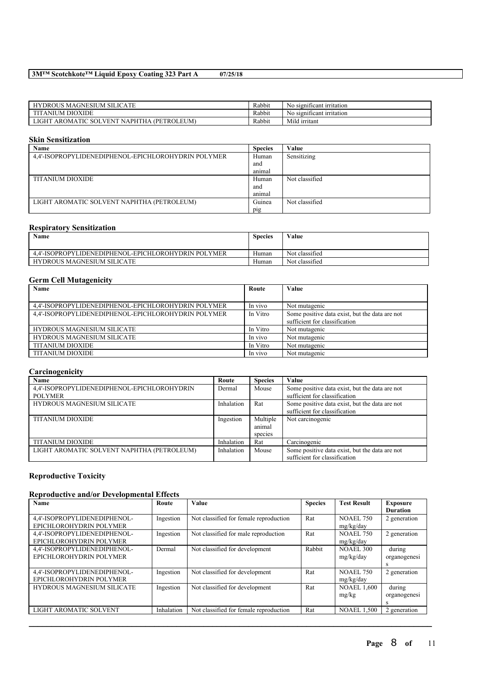| LIC/<br><b>HYDROUS MAGNESIUM</b><br>∍M SIJ<br>. OUT                          | Rabbit | . .<br>No significant irritation |
|------------------------------------------------------------------------------|--------|----------------------------------|
| <b>DIOXIDE</b><br>`ANIUM                                                     | Rabbit | . .<br>No significant irritation |
| <b>(PETROLEUM)</b><br>∟IGHT<br>`NAPHTHA<br><b>AROMATIC</b><br><b>SOLVENT</b> | Rabbit | $5 - 1$<br>Mild irritant         |

#### **Skin Sensitization**

| Name                                                | <b>Species</b> | Value          |
|-----------------------------------------------------|----------------|----------------|
| 4.4'-ISOPROPYLIDENEDIPHENOL-EPICHLOROHYDRIN POLYMER | Human          | Sensitizing    |
|                                                     | and            |                |
|                                                     | animal         |                |
| <b>TITANIUM DIOXIDE</b>                             | Human          | Not classified |
|                                                     | and            |                |
|                                                     | animal         |                |
| LIGHT AROMATIC SOLVENT NAPHTHA (PETROLEUM)          | Guinea         | Not classified |
|                                                     | pig            |                |

#### **Respiratory Sensitization**

| Name                                                | <b>Species</b> | Value          |
|-----------------------------------------------------|----------------|----------------|
| 4.4'-ISOPROPYLIDENEDIPHENOL-EPICHLOROHYDRIN POLYMER | Human          | Not classified |
| <b>HYDROUS MAGNESIUM SILICATE</b>                   | Human          | Not classified |

### **Germ Cell Mutagenicity**

| <b>Name</b>                                         | Route    | Value                                          |
|-----------------------------------------------------|----------|------------------------------------------------|
|                                                     |          |                                                |
| 4.4'-ISOPROPYLIDENEDIPHENOL-EPICHLOROHYDRIN POLYMER | In vivo  | Not mutagenic                                  |
| 4.4'-ISOPROPYLIDENEDIPHENOL-EPICHLOROHYDRIN POLYMER | In Vitro | Some positive data exist, but the data are not |
|                                                     |          | sufficient for classification                  |
| <b>HYDROUS MAGNESIUM SILICATE</b>                   | In Vitro | Not mutagenic                                  |
| <b>HYDROUS MAGNESIUM SILICATE</b>                   | In vivo  | Not mutagenic                                  |
| <b>TITANIUM DIOXIDE</b>                             | In Vitro | Not mutagenic                                  |
| <b>TITANIUM DIOXIDE</b>                             | In vivo  | Not mutagenic                                  |

## **Carcinogenicity**

| Name                                        | Route      | <b>Species</b> | Value                                          |
|---------------------------------------------|------------|----------------|------------------------------------------------|
| 4.4'-ISOPROPYLIDENEDIPHENOL-EPICHLOROHYDRIN | Dermal     | Mouse          | Some positive data exist, but the data are not |
| <b>POLYMER</b>                              |            |                | sufficient for classification                  |
| <b>HYDROUS MAGNESIUM SILICATE</b>           | Inhalation | Rat            | Some positive data exist, but the data are not |
|                                             |            |                | sufficient for classification                  |
| <b>TITANIUM DIOXIDE</b>                     | Ingestion  | Multiple       | Not carcinogenic                               |
|                                             |            | animal         |                                                |
|                                             |            | species        |                                                |
| <b>TITANIUM DIOXIDE</b>                     | Inhalation | Rat            | Carcinogenic                                   |
| LIGHT AROMATIC SOLVENT NAPHTHA (PETROLEUM)  | Inhalation | Mouse          | Some positive data exist, but the data are not |
|                                             |            |                | sufficient for classification                  |

## **Reproductive Toxicity**

#### **Reproductive and/or Developmental Effects**

| Name                              | Route      | Value                                  | <b>Species</b> | <b>Test Result</b> | <b>Exposure</b> |
|-----------------------------------|------------|----------------------------------------|----------------|--------------------|-----------------|
|                                   |            |                                        |                |                    | <b>Duration</b> |
| 4,4'-ISOPROPYLIDENEDIPHENOL-      | Ingestion  | Not classified for female reproduction | Rat            | <b>NOAEL 750</b>   | 2 generation    |
| EPICHLOROHYDRIN POLYMER           |            |                                        |                | mg/kg/day          |                 |
| 4,4'-ISOPROPYLIDENEDIPHENOL-      | Ingestion  | Not classified for male reproduction   | Rat            | <b>NOAEL 750</b>   | 2 generation    |
| EPICHLOROHYDRIN POLYMER           |            |                                        |                | mg/kg/day          |                 |
| 4,4'-ISOPROPYLIDENEDIPHENOL-      | Dermal     | Not classified for development         | Rabbit         | <b>NOAEL 300</b>   | during          |
| EPICHLOROHYDRIN POLYMER           |            |                                        |                | mg/kg/day          | organogenesi    |
|                                   |            |                                        |                |                    | s               |
| 4,4'-ISOPROPYLIDENEDIPHENOL-      | Ingestion  | Not classified for development         | Rat            | <b>NOAEL 750</b>   | 2 generation    |
| EPICHLOROHYDRIN POLYMER           |            |                                        |                | mg/kg/day          |                 |
| <b>HYDROUS MAGNESIUM SILICATE</b> | Ingestion  | Not classified for development         | Rat            | <b>NOAEL 1.600</b> | during          |
|                                   |            |                                        |                | mg/kg              | organogenesi    |
|                                   |            |                                        |                |                    | s               |
| LIGHT AROMATIC SOLVENT            | Inhalation | Not classified for female reproduction | Rat            | <b>NOAEL 1.500</b> | 2 generation    |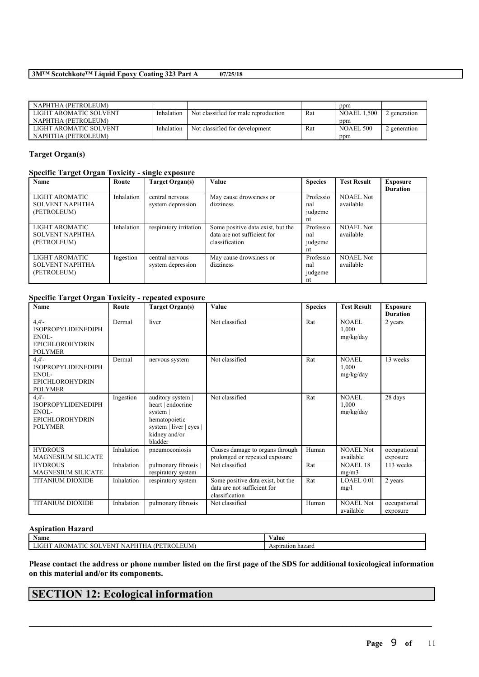| NAPHTHA (PETROLEUM)    |            |                                      |     | ppm                |              |
|------------------------|------------|--------------------------------------|-----|--------------------|--------------|
| LIGHT AROMATIC SOLVENT | Inhalation | Not classified for male reproduction | Rat | <b>NOAEL 1.500</b> | 2 generation |
| NAPHTHA (PETROLEUM)    |            |                                      |     | ppm                |              |
| LIGHT AROMATIC SOLVENT | Inhalation | Not classified for development       | Rat | NOAEL 500          | 2 generation |
| NAPHTHA (PETROLEUM)    |            |                                      |     | ppm                |              |

## **Target Organ(s)**

## **Specific Target Organ Toxicity - single exposure**

| Name                                                           | Route      | <b>Target Organ(s)</b>               | Value                                                                              | <b>Species</b>                    | <b>Test Result</b>            | <b>Exposure</b><br><b>Duration</b> |
|----------------------------------------------------------------|------------|--------------------------------------|------------------------------------------------------------------------------------|-----------------------------------|-------------------------------|------------------------------------|
| LIGHT AROMATIC<br><b>SOLVENT NAPHTHA</b><br>(PETROLEUM)        | Inhalation | central nervous<br>system depression | May cause drowsiness or<br>dizziness                                               | Professio<br>nal<br>judgeme<br>nt | <b>NOAEL Not</b><br>available |                                    |
| LIGHT AROMATIC<br><b>SOLVENT NAPHTHA</b><br>(PETROLEUM)        | Inhalation | respiratory irritation               | Some positive data exist, but the<br>data are not sufficient for<br>classification | Professio<br>nal<br>judgeme<br>nt | <b>NOAEL Not</b><br>available |                                    |
| <b>LIGHT AROMATIC</b><br><b>SOLVENT NAPHTHA</b><br>(PETROLEUM) | Ingestion  | central nervous<br>system depression | May cause drowsiness or<br>dizziness                                               | Professio<br>nal<br>judgeme<br>nt | <b>NOAEL Not</b><br>available |                                    |

#### **Specific Target Organ Toxicity - repeated exposure**

| <b>Name</b>                                                                            | Route      | <b>Target Organ(s)</b>                                                                                                     | <b>Value</b>                                                                       | <b>Species</b> | <b>Test Result</b>                 | <b>Exposure</b><br><b>Duration</b> |
|----------------------------------------------------------------------------------------|------------|----------------------------------------------------------------------------------------------------------------------------|------------------------------------------------------------------------------------|----------------|------------------------------------|------------------------------------|
| 4.4'<br><b>ISOPROPYLIDENEDIPH</b><br>ENOL-<br><b>EPICHLOROHYDRIN</b><br><b>POLYMER</b> | Dermal     | liver                                                                                                                      | Not classified                                                                     | Rat            | <b>NOAEL</b><br>1,000<br>mg/kg/day | 2 years                            |
| 4.4'<br><b>ISOPROPYLIDENEDIPH</b><br>ENOL-<br><b>EPICHLOROHYDRIN</b><br><b>POLYMER</b> | Dermal     | nervous system                                                                                                             | Not classified                                                                     | Rat            | NOAEL<br>1.000<br>mg/kg/day        | 13 weeks                           |
| 4.4'<br><b>ISOPROPYLIDENEDIPH</b><br>ENOL-<br><b>EPICHLOROHYDRIN</b><br><b>POLYMER</b> | Ingestion  | auditory system  <br>heart   endocrine<br>system  <br>hematopoietic<br>system   liver   eyes  <br>kidney and/or<br>bladder | Not classified                                                                     | Rat            | NOAEL<br>1.000<br>mg/kg/day        | 28 days                            |
| <b>HYDROUS</b><br><b>MAGNESIUM SILICATE</b>                                            | Inhalation | pneumoconiosis                                                                                                             | Causes damage to organs through<br>prolonged or repeated exposure                  | Human          | <b>NOAEL Not</b><br>available      | occupational<br>exposure           |
| <b>HYDROUS</b><br><b>MAGNESIUM SILICATE</b>                                            | Inhalation | pulmonary fibrosis<br>respiratory system                                                                                   | Not classified                                                                     | Rat            | <b>NOAEL 18</b><br>mg/m3           | 113 weeks                          |
| <b>TITANIUM DIOXIDE</b>                                                                | Inhalation | respiratory system                                                                                                         | Some positive data exist, but the<br>data are not sufficient for<br>classification | Rat            | LOAEL0.01<br>mg/l                  | 2 years                            |
| <b>TITANIUM DIOXIDE</b>                                                                | Inhalation | pulmonary fibrosis                                                                                                         | Not classified                                                                     | Human          | <b>NOAEL Not</b><br>available      | occupational<br>exposure           |

## **Aspiration Hazard**

| <b>ж.</b><br>Name                                                                            | Value                    |
|----------------------------------------------------------------------------------------------|--------------------------|
| ≒EUM)<br>(DETT<br>SOI<br><b>TIC</b><br>$\lambda$ A PHT<br>OMA<br>JC îH<br>нд<br>AΚO<br>/ F.N | Aspiration h<br>hazard ا |

Please contact the address or phone number listed on the first page of the SDS for additional toxicological information **on this material and/or its components.**

 $\mathcal{L}_\mathcal{L} = \mathcal{L}_\mathcal{L} = \mathcal{L}_\mathcal{L} = \mathcal{L}_\mathcal{L} = \mathcal{L}_\mathcal{L} = \mathcal{L}_\mathcal{L} = \mathcal{L}_\mathcal{L} = \mathcal{L}_\mathcal{L} = \mathcal{L}_\mathcal{L} = \mathcal{L}_\mathcal{L} = \mathcal{L}_\mathcal{L} = \mathcal{L}_\mathcal{L} = \mathcal{L}_\mathcal{L} = \mathcal{L}_\mathcal{L} = \mathcal{L}_\mathcal{L} = \mathcal{L}_\mathcal{L} = \mathcal{L}_\mathcal{L}$ 

# **SECTION 12: Ecological information**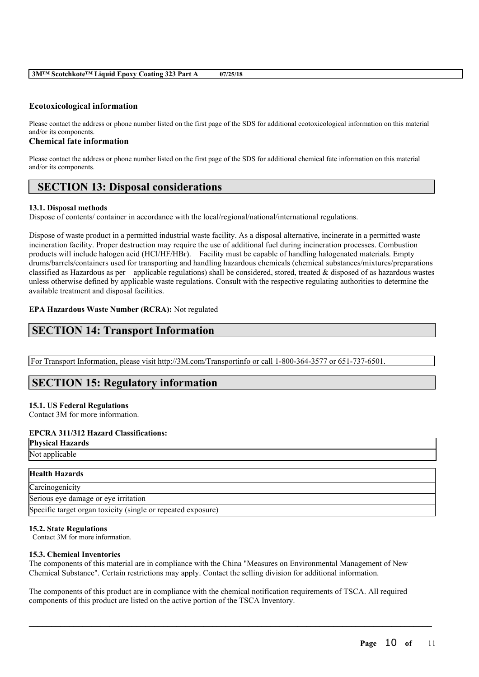### **Ecotoxicological information**

Please contact the address or phone number listed on the first page of the SDS for additional ecotoxicological information on this material and/or its components.

#### **Chemical fate information**

Please contact the address or phone number listed on the first page of the SDS for additional chemical fate information on this material and/or its components.

# **SECTION 13: Disposal considerations**

#### **13.1. Disposal methods**

Dispose of contents/ container in accordance with the local/regional/national/international regulations.

Dispose of waste product in a permitted industrial waste facility. As a disposal alternative, incinerate in a permitted waste incineration facility. Proper destruction may require the use of additional fuel during incineration processes. Combustion products will include halogen acid (HCl/HF/HBr). Facility must be capable of handling halogenated materials. Empty drums/barrels/containers used for transporting and handling hazardous chemicals (chemical substances/mixtures/preparations classified as Hazardous as per applicable regulations) shall be considered, stored, treated & disposed of as hazardous wastes unless otherwise defined by applicable waste regulations. Consult with the respective regulating authorities to determine the available treatment and disposal facilities.

#### **EPA Hazardous Waste Number (RCRA):** Not regulated

# **SECTION 14: Transport Information**

For Transport Information, please visit http://3M.com/Transportinfo or call 1-800-364-3577 or 651-737-6501.

# **SECTION 15: Regulatory information**

#### **15.1. US Federal Regulations**

Contact 3M for more information.

#### **EPCRA 311/312 Hazard Classifications:**

**Physical Hazards**

Not applicable

| <b>Health Hazards</b>                                        |  |
|--------------------------------------------------------------|--|
| Carcinogenicity                                              |  |
| Serious eye damage or eye irritation                         |  |
| Specific target organ toxicity (single or repeated exposure) |  |

#### **15.2. State Regulations**

Contact 3M for more information.

#### **15.3. Chemical Inventories**

The components of this material are in compliance with the China "Measures on Environmental Management of New Chemical Substance". Certain restrictions may apply. Contact the selling division for additional information.

The components of this product are in compliance with the chemical notification requirements of TSCA. All required components of this product are listed on the active portion of the TSCA Inventory.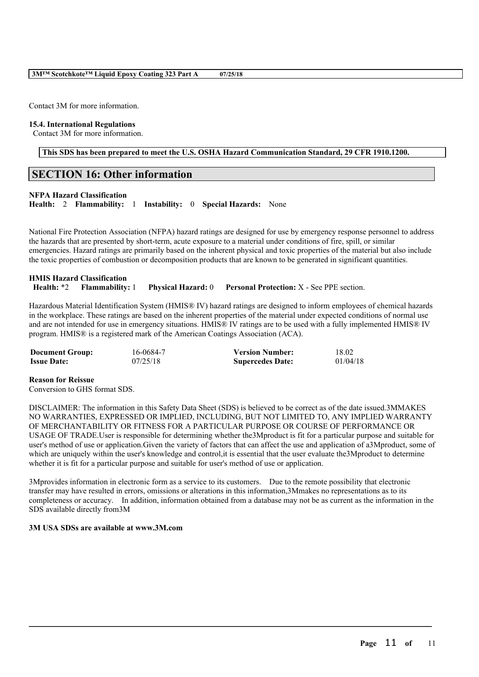Contact 3M for more information.

#### **15.4. International Regulations**

Contact 3M for more information.

**This SDS has been prepared to meet the U.S. OSHA Hazard Communication Standard, 29 CFR 1910.1200.**

# **SECTION 16: Other information**

#### **NFPA Hazard Classification**

**Health:** 2 **Flammability:** 1 **Instability:** 0 **Special Hazards:** None

National Fire Protection Association (NFPA) hazard ratings are designed for use by emergency response personnel to address the hazards that are presented by short-term, acute exposure to a material under conditions of fire, spill, or similar emergencies. Hazard ratings are primarily based on the inherent physical and toxic properties of the material but also include the toxic properties of combustion or decomposition products that are known to be generated in significant quantities.

## **HMIS Hazard Classification Health:** \*2 **Flammability:** 1 **Physical Hazard:** 0 **Personal Protection:** X - See PPE section.

Hazardous Material Identification System (HMIS® IV) hazard ratings are designed to inform employees of chemical hazards in the workplace. These ratings are based on the inherent properties of the material under expected conditions of normal use and are not intended for use in emergency situations. HMIS® IV ratings are to be used with a fully implemented HMIS® IV program. HMIS® is a registered mark of the American Coatings Association (ACA).

| <b>Document Group:</b> | 16-0684-7 | <b>Version Number:</b>  | 18.02    |
|------------------------|-----------|-------------------------|----------|
| <b>Issue Date:</b>     | 07/25/18  | <b>Supercedes Date:</b> | 01/04/18 |

#### **Reason for Reissue**

Conversion to GHS format SDS.

DISCLAIMER: The information in this Safety Data Sheet (SDS) is believed to be correct as of the date issued.3MMAKES NO WARRANTIES, EXPRESSED OR IMPLIED, INCLUDING, BUT NOT LIMITED TO, ANY IMPLIED WARRANTY OF MERCHANTABILITY OR FITNESS FOR A PARTICULAR PURPOSE OR COURSE OF PERFORMANCE OR USAGE OF TRADE.User is responsible for determining whether the3Mproduct is fit for a particular purpose and suitable for user's method of use or application.Given the variety of factors that can affect the use and application of a3Mproduct, some of which are uniquely within the user's knowledge and control, it is essential that the user evaluate the 3Mproduct to determine whether it is fit for a particular purpose and suitable for user's method of use or application.

3Mprovides information in electronic form as a service to its customers. Due to the remote possibility that electronic transfer may have resulted in errors, omissions or alterations in this information,3Mmakes no representations as to its completeness or accuracy. In addition, information obtained from a database may not be as current as the information in the SDS available directly from3M

 $\mathcal{L}_\mathcal{L} = \mathcal{L}_\mathcal{L} = \mathcal{L}_\mathcal{L} = \mathcal{L}_\mathcal{L} = \mathcal{L}_\mathcal{L} = \mathcal{L}_\mathcal{L} = \mathcal{L}_\mathcal{L} = \mathcal{L}_\mathcal{L} = \mathcal{L}_\mathcal{L} = \mathcal{L}_\mathcal{L} = \mathcal{L}_\mathcal{L} = \mathcal{L}_\mathcal{L} = \mathcal{L}_\mathcal{L} = \mathcal{L}_\mathcal{L} = \mathcal{L}_\mathcal{L} = \mathcal{L}_\mathcal{L} = \mathcal{L}_\mathcal{L}$ 

#### **3M USA SDSs are available at www.3M.com**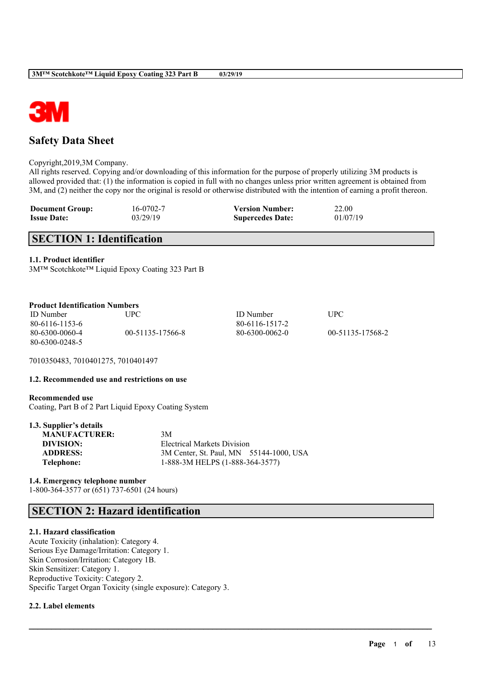

# **Safety Data Sheet**

Copyright,2019,3M Company.

All rights reserved. Copying and/or downloading of this information for the purpose of properly utilizing 3M products is allowed provided that: (1) the information is copied in full with no changes unless prior written agreement is obtained from 3M, and (2) neither the copy nor the original is resold or otherwise distributed with the intention of earning a profit thereon.

| <b>Document Group:</b> | 16-0702-7 | <b>Version Number:</b>  | 22.00    |
|------------------------|-----------|-------------------------|----------|
| <b>Issue Date:</b>     | 03/29/19  | <b>Supercedes Date:</b> | 01/07/19 |

# **SECTION 1: Identification**

#### **1.1. Product identifier**

3M™ Scotchkote™ Liquid Epoxy Coating 323 Part B

| <b>Product Identification Numbers</b> |                  |                  |                  |  |
|---------------------------------------|------------------|------------------|------------------|--|
| <b>ID</b> Number                      | UPC.             | <b>ID</b> Number | <b>UPC</b>       |  |
| 80-6116-1153-6                        |                  | 80-6116-1517-2   |                  |  |
| 80-6300-0060-4                        | 00-51135-17566-8 | 80-6300-0062-0   | 00-51135-17568-2 |  |
| 80-6300-0248-5                        |                  |                  |                  |  |

 $\mathcal{L}_\mathcal{L} = \mathcal{L}_\mathcal{L} = \mathcal{L}_\mathcal{L} = \mathcal{L}_\mathcal{L} = \mathcal{L}_\mathcal{L} = \mathcal{L}_\mathcal{L} = \mathcal{L}_\mathcal{L} = \mathcal{L}_\mathcal{L} = \mathcal{L}_\mathcal{L} = \mathcal{L}_\mathcal{L} = \mathcal{L}_\mathcal{L} = \mathcal{L}_\mathcal{L} = \mathcal{L}_\mathcal{L} = \mathcal{L}_\mathcal{L} = \mathcal{L}_\mathcal{L} = \mathcal{L}_\mathcal{L} = \mathcal{L}_\mathcal{L}$ 

7010350483, 7010401275, 7010401497

#### **1.2. Recommended use and restrictions on use**

**Recommended use** Coating, Part B of 2 Part Liquid Epoxy Coating System

| 1.3. Supplier's details |                                         |  |
|-------------------------|-----------------------------------------|--|
| <b>MANUFACTURER:</b>    | 3M                                      |  |
| DIVISION:               | Electrical Markets Division             |  |
| <b>ADDRESS:</b>         | 3M Center, St. Paul, MN 55144-1000, USA |  |
| Telephone:              | 1-888-3M HELPS (1-888-364-3577)         |  |

**1.4. Emergency telephone number** 1-800-364-3577 or (651) 737-6501 (24 hours)

# **SECTION 2: Hazard identification**

## **2.1. Hazard classification**

Acute Toxicity (inhalation): Category 4. Serious Eye Damage/Irritation: Category 1. Skin Corrosion/Irritation: Category 1B. Skin Sensitizer: Category 1. Reproductive Toxicity: Category 2. Specific Target Organ Toxicity (single exposure): Category 3.

#### **2.2. Label elements**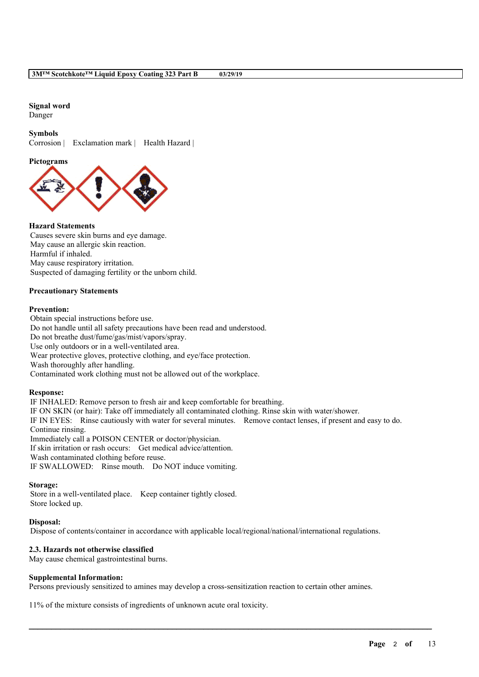## **Signal word**

Danger

#### **Symbols**

Corrosion | Exclamation mark | Health Hazard |

## **Pictograms**



#### **Hazard Statements**

Causes severe skin burns and eye damage. May cause an allergic skin reaction. Harmful if inhaled. May cause respiratory irritation. Suspected of damaging fertility or the unborn child.

#### **Precautionary Statements**

#### **Prevention:**

Obtain special instructions before use. Do not handle until all safety precautions have been read and understood. Do not breathe dust/fume/gas/mist/vapors/spray. Use only outdoors or in a well-ventilated area. Wear protective gloves, protective clothing, and eye/face protection. Wash thoroughly after handling. Contaminated work clothing must not be allowed out of the workplace.

#### **Response:**

IF INHALED: Remove person to fresh air and keep comfortable for breathing. IF ON SKIN (or hair): Take off immediately all contaminated clothing. Rinse skin with water/shower. IF IN EYES: Rinse cautiously with water for several minutes. Remove contact lenses, if present and easy to do. Continue rinsing. Immediately call a POISON CENTER or doctor/physician. If skin irritation or rash occurs: Get medical advice/attention. Wash contaminated clothing before reuse. IF SWALLOWED: Rinse mouth. Do NOT induce vomiting.

#### **Storage:**

Store in a well-ventilated place. Keep container tightly closed. Store locked up.

#### **Disposal:**

Dispose of contents/container in accordance with applicable local/regional/national/international regulations.

#### **2.3. Hazards not otherwise classified**

May cause chemical gastrointestinal burns.

#### **Supplemental Information:**

Persons previously sensitized to amines may develop a cross-sensitization reaction to certain other amines.

 $\mathcal{L}_\mathcal{L} = \mathcal{L}_\mathcal{L} = \mathcal{L}_\mathcal{L} = \mathcal{L}_\mathcal{L} = \mathcal{L}_\mathcal{L} = \mathcal{L}_\mathcal{L} = \mathcal{L}_\mathcal{L} = \mathcal{L}_\mathcal{L} = \mathcal{L}_\mathcal{L} = \mathcal{L}_\mathcal{L} = \mathcal{L}_\mathcal{L} = \mathcal{L}_\mathcal{L} = \mathcal{L}_\mathcal{L} = \mathcal{L}_\mathcal{L} = \mathcal{L}_\mathcal{L} = \mathcal{L}_\mathcal{L} = \mathcal{L}_\mathcal{L}$ 

11% of the mixture consists of ingredients of unknown acute oral toxicity.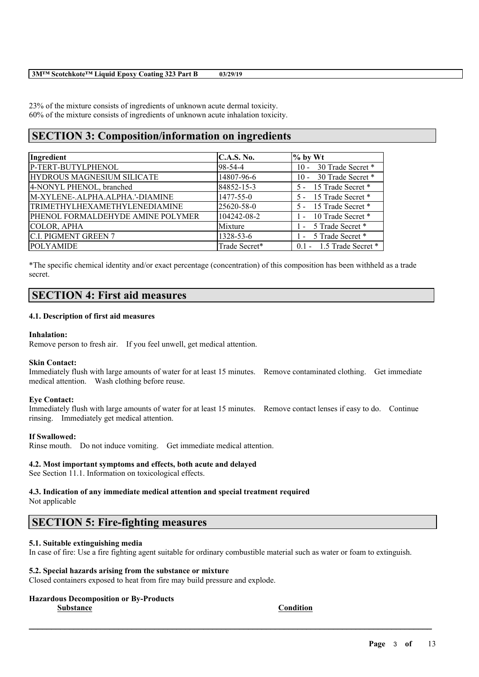23% of the mixture consists of ingredients of unknown acute dermal toxicity. 60% of the mixture consists of ingredients of unknown acute inhalation toxicity.

# **SECTION 3: Composition/information on ingredients**

| Ingredient                           | C.A.S. No.    | $%$ by Wt                  |
|--------------------------------------|---------------|----------------------------|
| P-TERT-BUTYLPHENOL                   | 98-54-4       | 10 - 30 Trade Secret *     |
| HYDROUS MAGNESIUM SILICATE           | 14807-96-6    | 10 - 30 Trade Secret *     |
| 4-NONYL PHENOL, branched             | 84852-15-3    | 5 - 15 Trade Secret *      |
| M-XYLENE-.ALPHA.ALPHA.'-DIAMINE      | 1477-55-0     | 5 - 15 Trade Secret *      |
| <b>TRIMETHYLHEXAMETHYLENEDIAMINE</b> | 25620-58-0    | 5 - 15 Trade Secret *      |
| PHENOL FORMALDEHYDE AMINE POLYMER    | 104242-08-2   | 1 - 10 Trade Secret *      |
| <b>COLOR, APHA</b>                   | Mixture       | 1 - 5 Trade Secret *       |
| <b>C.I. PIGMENT GREEN 7</b>          | 1328-53-6     | 1 - 5 Trade Secret *       |
| <b>POLYAMIDE</b>                     | Trade Secret* | $0.1 - 1.5$ Trade Secret * |

\*The specific chemical identity and/or exact percentage (concentration) of this composition has been withheld as a trade secret.

# **SECTION 4: First aid measures**

#### **4.1. Description of first aid measures**

#### **Inhalation:**

Remove person to fresh air. If you feel unwell, get medical attention.

#### **Skin Contact:**

Immediately flush with large amounts of water for at least 15 minutes. Remove contaminated clothing. Get immediate medical attention. Wash clothing before reuse.

#### **Eye Contact:**

Immediately flush with large amounts of water for at least 15 minutes. Remove contact lenses if easy to do. Continue rinsing. Immediately get medical attention.

#### **If Swallowed:**

Rinse mouth. Do not induce vomiting. Get immediate medical attention.

#### **4.2. Most important symptoms and effects, both acute and delayed**

See Section 11.1. Information on toxicological effects.

# **4.3. Indication of any immediate medical attention and special treatment required**

Not applicable

# **SECTION 5: Fire-fighting measures**

#### **5.1. Suitable extinguishing media**

In case of fire: Use a fire fighting agent suitable for ordinary combustible material such as water or foam to extinguish.

 $\mathcal{L}_\mathcal{L} = \mathcal{L}_\mathcal{L} = \mathcal{L}_\mathcal{L} = \mathcal{L}_\mathcal{L} = \mathcal{L}_\mathcal{L} = \mathcal{L}_\mathcal{L} = \mathcal{L}_\mathcal{L} = \mathcal{L}_\mathcal{L} = \mathcal{L}_\mathcal{L} = \mathcal{L}_\mathcal{L} = \mathcal{L}_\mathcal{L} = \mathcal{L}_\mathcal{L} = \mathcal{L}_\mathcal{L} = \mathcal{L}_\mathcal{L} = \mathcal{L}_\mathcal{L} = \mathcal{L}_\mathcal{L} = \mathcal{L}_\mathcal{L}$ 

#### **5.2. Special hazards arising from the substance or mixture**

Closed containers exposed to heat from fire may build pressure and explode.

#### **Hazardous Decomposition or By-Products Substance Condition**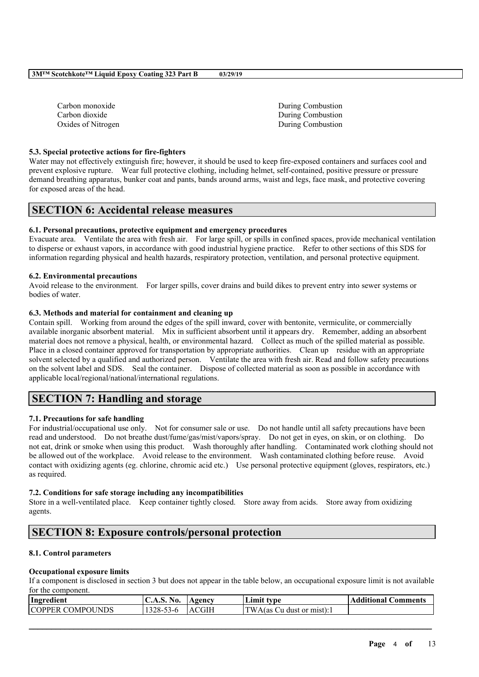| Carbon monoxide    | During Combustion |
|--------------------|-------------------|
| Carbon dioxide     | During Combustion |
| Oxides of Nitrogen | During Combustion |

#### **5.3. Special protective actions for fire-fighters**

Water may not effectively extinguish fire; however, it should be used to keep fire-exposed containers and surfaces cool and prevent explosive rupture. Wear full protective clothing, including helmet, self-contained, positive pressure or pressure demand breathing apparatus, bunker coat and pants, bands around arms, waist and legs, face mask, and protective covering for exposed areas of the head.

## **SECTION 6: Accidental release measures**

#### **6.1. Personal precautions, protective equipment and emergency procedures**

Evacuate area. Ventilate the area with fresh air. For large spill, or spills in confined spaces, provide mechanical ventilation to disperse or exhaust vapors, in accordance with good industrial hygiene practice. Refer to other sections of this SDS for information regarding physical and health hazards, respiratory protection, ventilation, and personal protective equipment.

#### **6.2. Environmental precautions**

Avoid release to the environment. For larger spills, cover drains and build dikes to prevent entry into sewer systems or bodies of water.

#### **6.3. Methods and material for containment and cleaning up**

Contain spill. Working from around the edges of the spill inward, cover with bentonite, vermiculite, or commercially available inorganic absorbent material. Mix in sufficient absorbent until it appears dry. Remember, adding an absorbent material does not remove a physical, health, or environmental hazard. Collect as much of the spilled material as possible. Place in a closed container approved for transportation by appropriate authorities. Clean up residue with an appropriate solvent selected by a qualified and authorized person. Ventilate the area with fresh air. Read and follow safety precautions on the solvent label and SDS. Seal the container. Dispose of collected material as soon as possible in accordance with applicable local/regional/national/international regulations.

# **SECTION 7: Handling and storage**

#### **7.1. Precautions for safe handling**

For industrial/occupational use only. Not for consumer sale or use. Do not handle until all safety precautions have been read and understood. Do not breathe dust/fume/gas/mist/vapors/spray. Do not get in eyes, on skin, or on clothing. Do not eat, drink or smoke when using this product. Wash thoroughly after handling. Contaminated work clothing should not be allowed out of the workplace. Avoid release to the environment. Wash contaminated clothing before reuse. Avoid contact with oxidizing agents (eg. chlorine, chromic acid etc.) Use personal protective equipment (gloves, respirators, etc.) as required.

#### **7.2. Conditions for safe storage including any incompatibilities**

Store in a well-ventilated place. Keep container tightly closed. Store away from acids. Store away from oxidizing agents.

# **SECTION 8: Exposure controls/personal protection**

#### **8.1. Control parameters**

#### **Occupational exposure limits**

If a component is disclosed in section 3 but does not appear in the table below, an occupational exposure limit is not available for the component.

| Ingredient              | N <sub>0</sub> .<br>$\mathbf{C}$ . $\mathbf{A}$ . $\mathbf{D}$ . | Agency       | Limit type                | <b>Additional Comments</b> |
|-------------------------|------------------------------------------------------------------|--------------|---------------------------|----------------------------|
| <b>COPPER COMPOUNDS</b> | $1328 - 53$<br>-23-0                                             | <b>ACGIH</b> | TWA(as Cu dust or mist):1 |                            |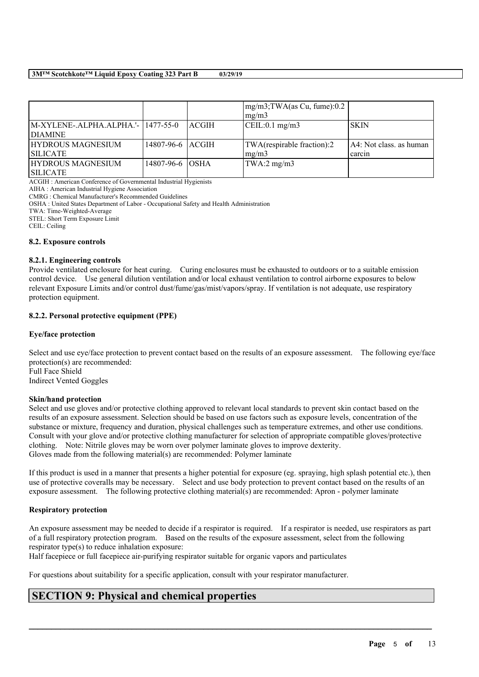|                                     |                  |               | $\left[\text{mg/m3;TWA}\right]$ (as Cu, fume):0.2  <br>mg/m3 |                         |
|-------------------------------------|------------------|---------------|--------------------------------------------------------------|-------------------------|
| M-XYLENE-.ALPHA.ALPHA.'-  1477-55-0 |                  | <b>LACGIH</b> | $\vert$ CEIL:0.1 mg/m3                                       | <b>SKIN</b>             |
| <b>DIAMINE</b>                      |                  |               |                                                              |                         |
| <b>HYDROUS MAGNESIUM</b>            | 14807-96-6 ACGIH |               | TWA(respirable fraction):2                                   | A4: Not class. as human |
| <b>SILICATE</b>                     |                  |               | mg/m3                                                        | carcin                  |
| <b>HYDROUS MAGNESIUM</b>            | 14807-96-6 OSHA  |               | TWA:2 $mg/m3$                                                |                         |
| <b>SILICATE</b>                     |                  |               |                                                              |                         |

ACGIH : American Conference of Governmental Industrial Hygienists

AIHA : American Industrial Hygiene Association

CMRG : Chemical Manufacturer's Recommended Guidelines

OSHA : United States Department of Labor - Occupational Safety and Health Administration

TWA: Time-Weighted-Average

STEL: Short Term Exposure Limit

CEIL: Ceiling

#### **8.2. Exposure controls**

#### **8.2.1. Engineering controls**

Provide ventilated enclosure for heat curing. Curing enclosures must be exhausted to outdoors or to a suitable emission control device. Use general dilution ventilation and/or local exhaust ventilation to control airborne exposures to below relevant Exposure Limits and/or control dust/fume/gas/mist/vapors/spray. If ventilation is not adequate, use respiratory protection equipment.

#### **8.2.2. Personal protective equipment (PPE)**

#### **Eye/face protection**

Select and use eye/face protection to prevent contact based on the results of an exposure assessment. The following eye/face protection(s) are recommended: Full Face Shield Indirect Vented Goggles

#### **Skin/hand protection**

Select and use gloves and/or protective clothing approved to relevant local standards to prevent skin contact based on the results of an exposure assessment. Selection should be based on use factors such as exposure levels, concentration of the substance or mixture, frequency and duration, physical challenges such as temperature extremes, and other use conditions. Consult with your glove and/or protective clothing manufacturer for selection of appropriate compatible gloves/protective clothing. Note: Nitrile gloves may be worn over polymer laminate gloves to improve dexterity. Gloves made from the following material(s) are recommended: Polymer laminate

If this product is used in a manner that presents a higher potential for exposure (eg. spraying, high splash potential etc.), then use of protective coveralls may be necessary. Select and use body protection to prevent contact based on the results of an exposure assessment. The following protective clothing material(s) are recommended: Apron - polymer laminate

#### **Respiratory protection**

An exposure assessment may be needed to decide if a respirator is required. If a respirator is needed, use respirators as part of a full respiratory protection program. Based on the results of the exposure assessment, select from the following respirator type(s) to reduce inhalation exposure:

 $\mathcal{L}_\mathcal{L} = \mathcal{L}_\mathcal{L} = \mathcal{L}_\mathcal{L} = \mathcal{L}_\mathcal{L} = \mathcal{L}_\mathcal{L} = \mathcal{L}_\mathcal{L} = \mathcal{L}_\mathcal{L} = \mathcal{L}_\mathcal{L} = \mathcal{L}_\mathcal{L} = \mathcal{L}_\mathcal{L} = \mathcal{L}_\mathcal{L} = \mathcal{L}_\mathcal{L} = \mathcal{L}_\mathcal{L} = \mathcal{L}_\mathcal{L} = \mathcal{L}_\mathcal{L} = \mathcal{L}_\mathcal{L} = \mathcal{L}_\mathcal{L}$ 

Half facepiece or full facepiece air-purifying respirator suitable for organic vapors and particulates

For questions about suitability for a specific application, consult with your respirator manufacturer.

## **SECTION 9: Physical and chemical properties**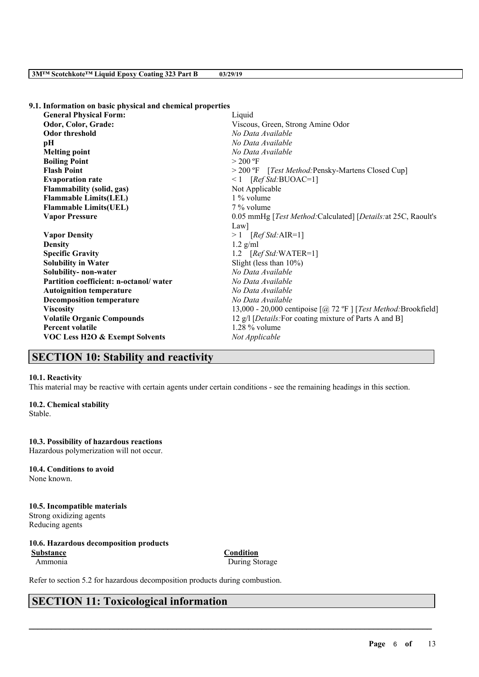**9.1. Information on basic physical and chemical properties General Physical Form:** Liquid **Odor, Color, Grade:** Viscous, Green, Strong Amine Odor **Odor threshold** *No Data Available* **pH** *No Data Available* **Melting point** *No Data Available* **Boiling Point**  $> 200$  <sup>o</sup>F **Flash Point** > 200 ºF [*Test Method:*Pensky-Martens Closed Cup] Evaporation rate  $\leq 1$  [*Ref Std:*BUOAC=1] **Flammability (solid, gas)** Not Applicable **Flammable Limits(LEL)** 1 % volume **Flammable Limits(UEL)** 7 % volume **Vapor Pressure** 0.05 mmHg [*Test Method:*Calculated] [*Details:*at 25C, Raoult's Law] **Vapor Density** > 1 [*Ref Std:*AIR=1] **Density** 1.2 g/ml **Specific Gravity** 1.2 [*Ref Std:*WATER=1] **Solubility** in Water Slight (less than  $10\%$ ) **Solubility- non-water** *No Data Available* **Partition coefficient: n-octanol/ water** *No Data Available* **Autoignition temperature** *No Data Available* **Decomposition temperature** *No Data Available* **Viscosity** 13,000 - 20,000 centipoise [@ 72 °F ] [*Test Method:* Brookfield] **Volatile Organic Compounds** 12 g/l [*Details:* For coating mixture of Parts A and B] **Percent volatile** 1.28 % volume **VOC Less H2O & Exempt Solvents** *Not Applicable*

# **SECTION 10: Stability and reactivity**

#### **10.1. Reactivity**

This material may be reactive with certain agents under certain conditions - see the remaining headings in this section.

#### **10.2. Chemical stability**

Stable.

#### **10.3. Possibility of hazardous reactions**

Hazardous polymerization will not occur.

**10.4. Conditions to avoid** None known.

## **10.5. Incompatible materials**

Strong oxidizing agents Reducing agents

## **10.6. Hazardous decomposition products Substance Condition**

Ammonia During Storage

 $\mathcal{L}_\mathcal{L} = \mathcal{L}_\mathcal{L} = \mathcal{L}_\mathcal{L} = \mathcal{L}_\mathcal{L} = \mathcal{L}_\mathcal{L} = \mathcal{L}_\mathcal{L} = \mathcal{L}_\mathcal{L} = \mathcal{L}_\mathcal{L} = \mathcal{L}_\mathcal{L} = \mathcal{L}_\mathcal{L} = \mathcal{L}_\mathcal{L} = \mathcal{L}_\mathcal{L} = \mathcal{L}_\mathcal{L} = \mathcal{L}_\mathcal{L} = \mathcal{L}_\mathcal{L} = \mathcal{L}_\mathcal{L} = \mathcal{L}_\mathcal{L}$ 

Refer to section 5.2 for hazardous decomposition products during combustion.

# **SECTION 11: Toxicological information**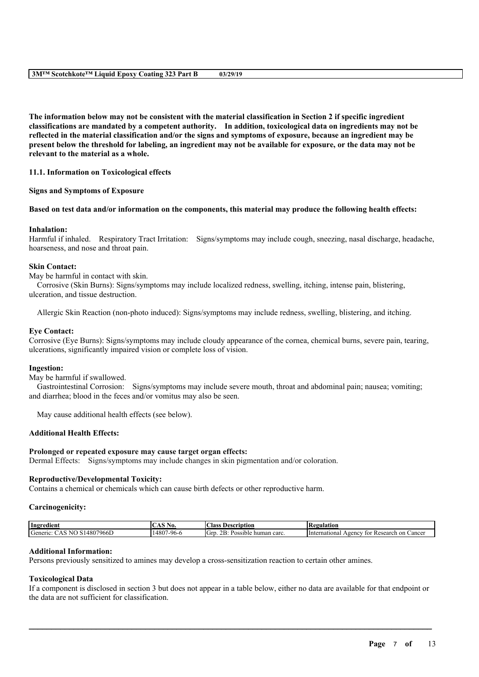The information below may not be consistent with the material classification in Section 2 if specific ingredient **classifications are mandated by a competent authority. In addition, toxicological data on ingredients may not be** reflected in the material classification and/or the signs and symptoms of exposure, because an ingredient may be present below the threshold for labeling, an ingredient may not be available for exposure, or the data may not be **relevant to the material as a whole.**

#### **11.1. Information on Toxicological effects**

#### **Signs and Symptoms of Exposure**

#### Based on test data and/or information on the components, this material may produce the following health effects:

#### **Inhalation:**

Harmful if inhaled. Respiratory Tract Irritation: Signs/symptoms may include cough, sneezing, nasal discharge, headache, hoarseness, and nose and throat pain.

#### **Skin Contact:**

May be harmful in contact with skin.

Corrosive (Skin Burns): Signs/symptoms may include localized redness, swelling, itching, intense pain, blistering, ulceration, and tissue destruction.

Allergic Skin Reaction (non-photo induced): Signs/symptoms may include redness, swelling, blistering, and itching.

#### **Eye Contact:**

Corrosive (Eye Burns): Signs/symptoms may include cloudy appearance of the cornea, chemical burns, severe pain, tearing, ulcerations, significantly impaired vision or complete loss of vision.

#### **Ingestion:**

May be harmful if swallowed.

Gastrointestinal Corrosion: Signs/symptoms may include severe mouth, throat and abdominal pain; nausea; vomiting; and diarrhea; blood in the feces and/or vomitus may also be seen.

May cause additional health effects (see below).

#### **Additional Health Effects:**

#### **Prolonged or repeated exposure may cause target organ effects:**

Dermal Effects: Signs/symptoms may include changes in skin pigmentation and/or coloration.

#### **Reproductive/Developmental Toxicity:**

Contains a chemical or chemicals which can cause birth defects or other reproductive harm.

#### **Carcinogenicity:**

| Ingredient                      | NO.                               | $\sqrt{ }$<br>scription<br>Aas                                                | tegulation<br>Ke.                                                     |
|---------------------------------|-----------------------------------|-------------------------------------------------------------------------------|-----------------------------------------------------------------------|
| 4807<br>7966L<br>NK<br>Generic. | '-96-(<br>100 <sup>o</sup><br>töU | . .<br>$\overline{\phantom{0}}$<br>~~<br>к<br>carc<br>Possible<br>human<br>UІ | International<br>. Cancer<br>Research<br>Agenc<br>on<br>$\sim$<br>tor |

#### **Additional Information:**

Persons previously sensitized to amines may develop a cross-sensitization reaction to certain other amines.

#### **Toxicological Data**

If a component is disclosed in section 3 but does not appear in a table below, either no data are available for that endpoint or the data are not sufficient for classification.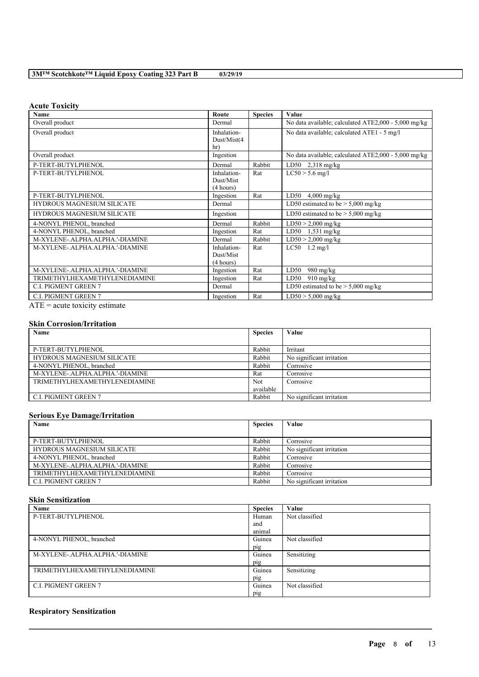## **Acute Toxicity**

| Name                              | Route       | <b>Species</b> | Value                                                |
|-----------------------------------|-------------|----------------|------------------------------------------------------|
| Overall product                   | Dermal      |                | No data available; calculated ATE2,000 - 5,000 mg/kg |
| Overall product                   | Inhalation- |                | No data available; calculated ATE1 - 5 mg/l          |
|                                   | Dust/Mist(4 |                |                                                      |
|                                   | hr)         |                |                                                      |
| Overall product                   | Ingestion   |                | No data available; calculated ATE2,000 - 5,000 mg/kg |
| P-TERT-BUTYLPHENOL                | Dermal      | Rabbit         | LD50 $2,318$ mg/kg                                   |
| P-TERT-BUTYLPHENOL                | Inhalation- | Rat            | $LC50 > 5.6$ mg/l                                    |
|                                   | Dust/Mist   |                |                                                      |
|                                   | (4 hours)   |                |                                                      |
| P-TERT-BUTYLPHENOL                | Ingestion   | Rat            | LD50 $4,000$ mg/kg                                   |
| <b>HYDROUS MAGNESIUM SILICATE</b> | Dermal      |                | LD50 estimated to be $> 5,000$ mg/kg                 |
| <b>HYDROUS MAGNESIUM SILICATE</b> | Ingestion   |                | LD50 estimated to be $> 5,000$ mg/kg                 |
| 4-NONYL PHENOL, branched          | Dermal      | Rabbit         | $LD50 > 2,000$ mg/kg                                 |
| 4-NONYL PHENOL, branched          | Ingestion   | Rat            | LD50 1,531 mg/kg                                     |
| M-XYLENE-.ALPHA.ALPHA.'-DIAMINE   | Dermal      | Rabbit         | $LD50 > 2,000$ mg/kg                                 |
| M-XYLENE-.ALPHA.ALPHA.'-DIAMINE   | Inhalation- | Rat            | $LC50$ 1.2 mg/l                                      |
|                                   | Dust/Mist   |                |                                                      |
|                                   | (4 hours)   |                |                                                      |
| M-XYLENE-.ALPHA.ALPHA.'-DIAMINE   | Ingestion   | Rat            | LD50<br>$980$ mg/kg                                  |
| TRIMETHYLHEXAMETHYLENEDIAMINE     | Ingestion   | Rat            | LD50<br>$910 \text{ mg/kg}$                          |
| <b>C.I. PIGMENT GREEN 7</b>       | Dermal      |                | LD50 estimated to be $> 5,000$ mg/kg                 |
| <b>C.I. PIGMENT GREEN 7</b>       | Ingestion   | Rat            | $LD50 > 5,000$ mg/kg                                 |

 $\overline{ATE}$  = acute toxicity estimate

### **Skin Corrosion/Irritation**

| Name                                   | <b>Species</b> | Value                     |
|----------------------------------------|----------------|---------------------------|
|                                        |                |                           |
| P-TERT-BUTYLPHENOL                     | Rabbit         | Irritant                  |
| <b>HYDROUS MAGNESIUM SILICATE</b>      | Rabbit         | No significant irritation |
| 4-NONYL PHENOL, branched               | Rabbit         | Corrosive                 |
| <b>M-XYLENE- ALPHA ALPHA '-DIAMINE</b> | Rat            | Corrosive                 |
| TRIMETHYLHEXAMETHYLENEDIAMINE          | <b>Not</b>     | Corrosive                 |
|                                        | available      |                           |
| <b>C.I. PIGMENT GREEN 7</b>            | Rabbit         | No significant irritation |

#### **Serious Eye Damage/Irritation**

| Name                                   | <b>Species</b> | Value                     |
|----------------------------------------|----------------|---------------------------|
|                                        |                |                           |
| P-TERT-BUTYLPHENOL                     | Rabbit         | Corrosive                 |
| <b>HYDROUS MAGNESIUM SILICATE</b>      | Rabbit         | No significant irritation |
| 4-NONYL PHENOL, branched               | Rabbit         | Corrosive                 |
| <b>M-XYLENE- ALPHA ALPHA '-DIAMINE</b> | Rabbit         | Corrosive                 |
| TRIMETHYLHEXAMETHYLENEDIAMINE          | Rabbit         | Corrosive                 |
| <b>C.I. PIGMENT GREEN 7</b>            | Rabbit         | No significant irritation |

#### **Skin Sensitization**

| Name                                 | <b>Species</b> | Value          |
|--------------------------------------|----------------|----------------|
| P-TERT-BUTYLPHENOL                   | Human          | Not classified |
|                                      | and            |                |
|                                      | animal         |                |
| 4-NONYL PHENOL, branched             | Guinea         | Not classified |
|                                      | pig            |                |
| M-XYLENE-.ALPHA.ALPHA.'-DIAMINE      | Guinea         | Sensitizing    |
|                                      | pig            |                |
| <b>TRIMETHYLHEXAMETHYLENEDIAMINE</b> | Guinea         | Sensitizing    |
|                                      | pig            |                |
| <b>C.I. PIGMENT GREEN 7</b>          | Guinea         | Not classified |
|                                      | pig            |                |

 $\mathcal{L}_\mathcal{L} = \mathcal{L}_\mathcal{L} = \mathcal{L}_\mathcal{L} = \mathcal{L}_\mathcal{L} = \mathcal{L}_\mathcal{L} = \mathcal{L}_\mathcal{L} = \mathcal{L}_\mathcal{L} = \mathcal{L}_\mathcal{L} = \mathcal{L}_\mathcal{L} = \mathcal{L}_\mathcal{L} = \mathcal{L}_\mathcal{L} = \mathcal{L}_\mathcal{L} = \mathcal{L}_\mathcal{L} = \mathcal{L}_\mathcal{L} = \mathcal{L}_\mathcal{L} = \mathcal{L}_\mathcal{L} = \mathcal{L}_\mathcal{L}$ 

## **Respiratory Sensitization**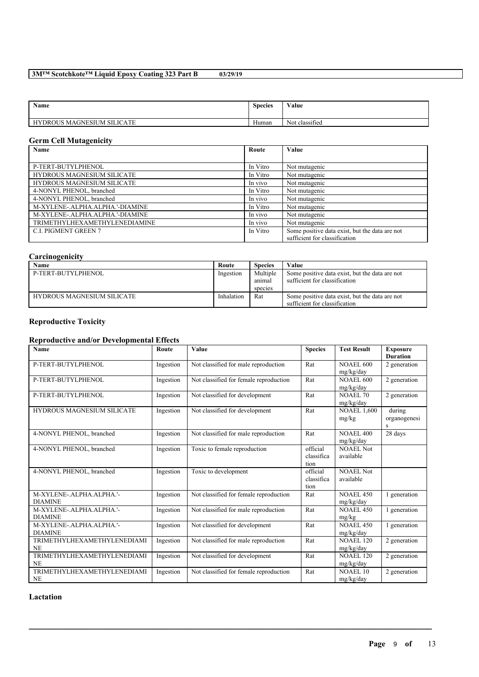| Name                       | $\sim$<br><b>Species</b> | Value          |
|----------------------------|--------------------------|----------------|
| HYDROUS MAGNESIUM SILICATE | $\mathbf{v}$<br>Human    | Not classified |

#### **Germ Cell Mutagenicity**

| Name                                 | Route    | Value                                          |
|--------------------------------------|----------|------------------------------------------------|
|                                      |          |                                                |
| P-TERT-BUTYLPHENOL                   | In Vitro | Not mutagenic                                  |
| <b>HYDROUS MAGNESIUM SILICATE</b>    | In Vitro | Not mutagenic                                  |
| <b>HYDROUS MAGNESIUM SILICATE</b>    | In vivo  | Not mutagenic                                  |
| 4-NONYL PHENOL, branched             | In Vitro | Not mutagenic                                  |
| 4-NONYL PHENOL, branched             | In vivo  | Not mutagenic                                  |
| M-XYLENE-.ALPHA.ALPHA.'-DIAMINE      | In Vitro | Not mutagenic                                  |
| M-XYLENE-.ALPHA.ALPHA.'-DIAMINE      | In vivo  | Not mutagenic                                  |
| <b>TRIMETHYLHEXAMETHYLENEDIAMINE</b> | In vivo  | Not mutagenic                                  |
| <b>C.I. PIGMENT GREEN 7</b>          | In Vitro | Some positive data exist, but the data are not |
|                                      |          | sufficient for classification                  |

## **Carcinogenicity**

| Name                       | Route      | <b>Species</b> | Value                                          |
|----------------------------|------------|----------------|------------------------------------------------|
| P-TERT-BUTYLPHENOL         | Ingestion  | Multiple       | Some positive data exist, but the data are not |
|                            |            | anımal         | sufficient for classification                  |
|                            |            | species        |                                                |
| HYDROUS MAGNESIUM SILICATE | Inhalation | Rat            | Some positive data exist, but the data are not |
|                            |            |                | sufficient for classification                  |

# **Reproductive Toxicity**

## **Reproductive and/or Developmental Effects**

| Name                                       | Route     | Value                                  | <b>Species</b>                 | <b>Test Result</b>            | <b>Exposure</b><br><b>Duration</b> |
|--------------------------------------------|-----------|----------------------------------------|--------------------------------|-------------------------------|------------------------------------|
| P-TERT-BUTYLPHENOL                         | Ingestion | Not classified for male reproduction   | Rat                            | <b>NOAEL 600</b><br>mg/kg/day | 2 generation                       |
| P-TERT-BUTYLPHENOL                         | Ingestion | Not classified for female reproduction | Rat                            | <b>NOAEL 600</b><br>mg/kg/day | 2 generation                       |
| P-TERT-BUTYLPHENOL                         | Ingestion | Not classified for development         | Rat                            | <b>NOAEL 70</b><br>mg/kg/day  | 2 generation                       |
| <b>HYDROUS MAGNESIUM SILICATE</b>          | Ingestion | Not classified for development         | Rat                            | <b>NOAEL 1,600</b><br>mg/kg   | during<br>organogenesi<br>s        |
| 4-NONYL PHENOL, branched                   | Ingestion | Not classified for male reproduction   | Rat                            | <b>NOAEL 400</b><br>mg/kg/day | 28 days                            |
| 4-NONYL PHENOL, branched                   | Ingestion | Toxic to female reproduction           | official<br>classifica<br>tion | <b>NOAEL Not</b><br>available |                                    |
| 4-NONYL PHENOL, branched                   | Ingestion | Toxic to development                   | official<br>classifica<br>tion | NOAEL Not<br>available        |                                    |
| M-XYLENE-.ALPHA.ALPHA.'-<br><b>DIAMINE</b> | Ingestion | Not classified for female reproduction | Rat                            | <b>NOAEL 450</b><br>mg/kg/day | 1 generation                       |
| M-XYLENE-.ALPHA.ALPHA.'-<br><b>DIAMINE</b> | Ingestion | Not classified for male reproduction   | Rat                            | <b>NOAEL 450</b><br>mg/kg     | 1 generation                       |
| M-XYLENE-.ALPHA.ALPHA.'-<br><b>DIAMINE</b> | Ingestion | Not classified for development         | Rat                            | <b>NOAEL 450</b><br>mg/kg/day | 1 generation                       |
| TRIMETHYLHEXAMETHYLENEDIAMI<br><b>NE</b>   | Ingestion | Not classified for male reproduction   | Rat                            | <b>NOAEL 120</b><br>mg/kg/day | 2 generation                       |
| TRIMETHYLHEXAMETHYLENEDIAMI<br><b>NE</b>   | Ingestion | Not classified for development         | Rat                            | <b>NOAEL 120</b><br>mg/kg/day | 2 generation                       |
| TRIMETHYLHEXAMETHYLENEDIAMI<br><b>NE</b>   | Ingestion | Not classified for female reproduction | Rat                            | NOAEL 10<br>mg/kg/day         | 2 generation                       |

 $\mathcal{L}_\mathcal{L} = \mathcal{L}_\mathcal{L} = \mathcal{L}_\mathcal{L} = \mathcal{L}_\mathcal{L} = \mathcal{L}_\mathcal{L} = \mathcal{L}_\mathcal{L} = \mathcal{L}_\mathcal{L} = \mathcal{L}_\mathcal{L} = \mathcal{L}_\mathcal{L} = \mathcal{L}_\mathcal{L} = \mathcal{L}_\mathcal{L} = \mathcal{L}_\mathcal{L} = \mathcal{L}_\mathcal{L} = \mathcal{L}_\mathcal{L} = \mathcal{L}_\mathcal{L} = \mathcal{L}_\mathcal{L} = \mathcal{L}_\mathcal{L}$ 

## **Lactation**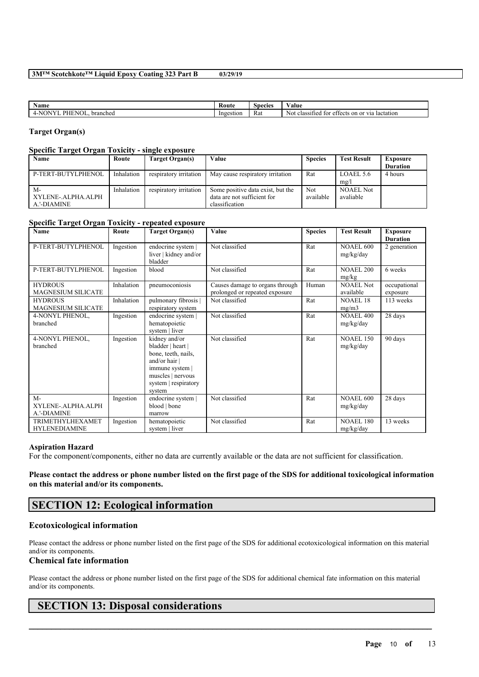| $\mathbf{X}$<br>Name                           | Route     | snecies | ⁄ alue                                                                             |
|------------------------------------------------|-----------|---------|------------------------------------------------------------------------------------|
| branched<br>NH<br><b>IN</b><br><b>NI</b><br>-- | Ingestion | Rat     | lactation<br>ettects<br>classified<br>on<br>tor<br>V1a<br>. or<br><b>NA</b><br>NO. |

### **Target Organ(s)**

## **Specific Target Organ Toxicity - single exposure**

| Name               | Route      | Target Organ(s)        | Value                             | <b>Species</b> | <b>Test Result</b> | Exposure        |
|--------------------|------------|------------------------|-----------------------------------|----------------|--------------------|-----------------|
|                    |            |                        |                                   |                |                    | <b>Duration</b> |
| P-TERT-BUTYLPHENOL | Inhalation | respiratory irritation | May cause respiratory irritation  | Rat            | LOAEL 5.6          | 4 hours         |
|                    |            |                        |                                   |                | mg/l               |                 |
| $M-$               | Inhalation | respiratory irritation | Some positive data exist, but the | Not            | <b>NOAEL Not</b>   |                 |
| XYLENE-.ALPHA.ALPH |            |                        | data are not sufficient for       | available      | avaliable          |                 |
| A.'-DIAMINE        |            |                        | classification                    |                |                    |                 |

## **Specific Target Organ Toxicity - repeated exposure**

| Name                                            | Route      | <b>Target Organ(s)</b>                                                                                                                             | Value                                                             | <b>Species</b> | <b>Test Result</b>            | <b>Exposure</b><br><b>Duration</b> |
|-------------------------------------------------|------------|----------------------------------------------------------------------------------------------------------------------------------------------------|-------------------------------------------------------------------|----------------|-------------------------------|------------------------------------|
| P-TERT-BUTYLPHENOL                              | Ingestion  | endocrine system  <br>liver   kidney and/or<br>bladder                                                                                             | Not classified                                                    | Rat            | <b>NOAEL 600</b><br>mg/kg/day | 2 generation                       |
| P-TERT-BUTYLPHENOL                              | Ingestion  | blood                                                                                                                                              | Not classified                                                    | Rat            | <b>NOAEL 200</b><br>mg/kg     | 6 weeks                            |
| <b>HYDROUS</b><br><b>MAGNESIUM SILICATE</b>     | Inhalation | pneumoconiosis                                                                                                                                     | Causes damage to organs through<br>prolonged or repeated exposure | Human          | <b>NOAEL Not</b><br>available | occupational<br>exposure           |
| <b>HYDROUS</b><br><b>MAGNESIUM SILICATE</b>     | Inhalation | pulmonary fibrosis  <br>respiratory system                                                                                                         | Not classified                                                    | Rat            | NOAEL 18<br>mg/m3             | 113 weeks                          |
| 4-NONYL PHENOL,<br>branched                     | Ingestion  | endocrine system  <br>hematopoietic<br>system   liver                                                                                              | Not classified                                                    | Rat            | <b>NOAEL 400</b><br>mg/kg/day | 28 days                            |
| 4-NONYL PHENOL,<br>branched                     | Ingestion  | kidney and/or<br>bladder   heart  <br>bone, teeth, nails,<br>and/or hair<br>immune system  <br>muscles   nervous<br>system   respiratory<br>system | Not classified                                                    | Rat            | <b>NOAEL 150</b><br>mg/kg/day | 90 days                            |
| $M -$<br>XYLENE- ALPHA ALPH<br>A.'-DIAMINE      | Ingestion  | endocrine system  <br>blood   bone<br>marrow                                                                                                       | Not classified                                                    | Rat            | <b>NOAEL 600</b><br>mg/kg/day | 28 days                            |
| <b>TRIMETHYLHEXAMET</b><br><b>HYLENEDIAMINE</b> | Ingestion  | hematopoietic<br>system   liver                                                                                                                    | Not classified                                                    | Rat            | <b>NOAEL 180</b><br>mg/kg/day | 13 weeks                           |

#### **Aspiration Hazard**

For the component/components, either no data are currently available or the data are not sufficient for classification.

#### Please contact the address or phone number listed on the first page of the SDS for additional toxicological information **on this material and/or its components.**

# **SECTION 12: Ecological information**

#### **Ecotoxicological information**

Please contact the address or phone number listed on the first page of the SDS for additional ecotoxicological information on this material and/or its components.

## **Chemical fate information**

Please contact the address or phone number listed on the first page of the SDS for additional chemical fate information on this material and/or its components.

 $\mathcal{L}_\mathcal{L} = \mathcal{L}_\mathcal{L} = \mathcal{L}_\mathcal{L} = \mathcal{L}_\mathcal{L} = \mathcal{L}_\mathcal{L} = \mathcal{L}_\mathcal{L} = \mathcal{L}_\mathcal{L} = \mathcal{L}_\mathcal{L} = \mathcal{L}_\mathcal{L} = \mathcal{L}_\mathcal{L} = \mathcal{L}_\mathcal{L} = \mathcal{L}_\mathcal{L} = \mathcal{L}_\mathcal{L} = \mathcal{L}_\mathcal{L} = \mathcal{L}_\mathcal{L} = \mathcal{L}_\mathcal{L} = \mathcal{L}_\mathcal{L}$ 

# **SECTION 13: Disposal considerations**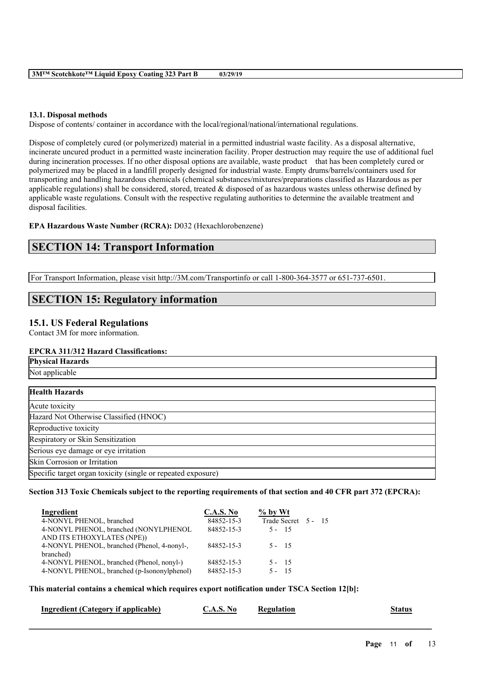#### **13.1. Disposal methods**

Dispose of contents/ container in accordance with the local/regional/national/international regulations.

Dispose of completely cured (or polymerized) material in a permitted industrial waste facility. As a disposal alternative, incinerate uncured product in a permitted waste incineration facility. Proper destruction may require the use of additional fuel during incineration processes. If no other disposal options are available, waste product that has been completely cured or polymerized may be placed in a landfill properly designed for industrial waste. Empty drums/barrels/containers used for transporting and handling hazardous chemicals (chemical substances/mixtures/preparations classified as Hazardous as per applicable regulations) shall be considered, stored, treated  $\&$  disposed of as hazardous wastes unless otherwise defined by applicable waste regulations. Consult with the respective regulating authorities to determine the available treatment and disposal facilities.

#### **EPA Hazardous Waste Number (RCRA):** D032 (Hexachlorobenzene)

# **SECTION 14: Transport Information**

For Transport Information, please visit http://3M.com/Transportinfo or call 1-800-364-3577 or 651-737-6501.

# **SECTION 15: Regulatory information**

## **15.1. US Federal Regulations**

Contact 3M for more information.

### **EPCRA 311/312 Hazard Classifications:**

**Physical Hazards** Not applicable

| -                                                                                                                                  |  |
|------------------------------------------------------------------------------------------------------------------------------------|--|
|                                                                                                                                    |  |
| <b>Health Hazards</b>                                                                                                              |  |
| Acute toxicity                                                                                                                     |  |
| Hazard Not Otherwise Classified (HNOC)                                                                                             |  |
|                                                                                                                                    |  |
|                                                                                                                                    |  |
|                                                                                                                                    |  |
|                                                                                                                                    |  |
| Specific target organ toxicity (single or repeated exposure)                                                                       |  |
| Reproductive toxicity<br>Respiratory or Skin Sensitization<br>Serious eye damage or eye irritation<br>Skin Corrosion or Irritation |  |

Section 313 Toxic Chemicals subject to the reporting requirements of that section and 40 CFR part 372 (EPCRA):

| Ingredient                                  | <b>C.A.S. No</b> | $%$ by Wt           |
|---------------------------------------------|------------------|---------------------|
| 4-NONYL PHENOL, branched                    | 84852-15-3       | Trade Secret 5 - 15 |
| 4-NONYL PHENOL, branched (NONYLPHENOL       | 84852-15-3       | $5 - 15$            |
| AND ITS ETHOXYLATES (NPE))                  |                  |                     |
| 4-NONYL PHENOL, branched (Phenol, 4-nonyl-, | 84852-15-3       | $5 - 15$            |
| branched)                                   |                  |                     |
| 4-NONYL PHENOL, branched (Phenol, nonyl-)   | 84852-15-3       | $5 - 15$            |
| 4-NONYL PHENOL, branched (p-Isononylphenol) | 84852-15-3       | $5 - 15$            |

#### **This material contains a chemical which requires export notification under TSCA Section 12[b]:**

| Ingredient (Category if applicable) | <b>C.A.S. No</b> | Regulation | Status |
|-------------------------------------|------------------|------------|--------|
|-------------------------------------|------------------|------------|--------|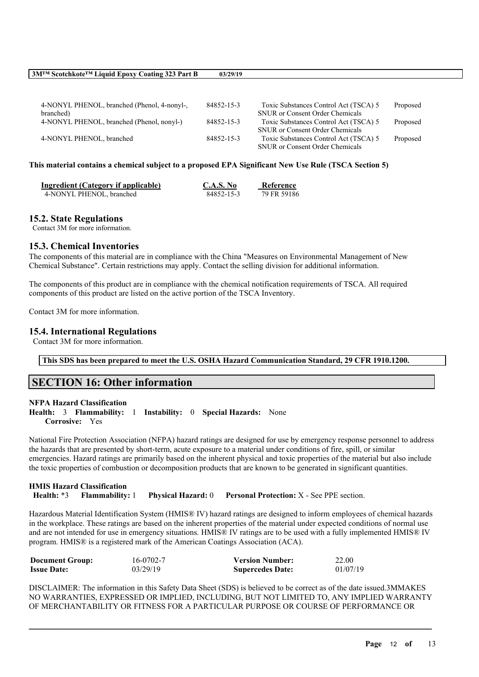| 3M™ Scotchkote™ Liquid Epoxy Coating 323 Part B<br>03/29/19 |
|-------------------------------------------------------------|
|-------------------------------------------------------------|

| 4-NONYL PHENOL, branched (Phenol, 4-nonyl-, | 84852-15-3 | Toxic Substances Control Act (TSCA) 5  | Proposed |
|---------------------------------------------|------------|----------------------------------------|----------|
| branched)                                   |            | <b>SNUR</b> or Consent Order Chemicals |          |
| 4-NONYL PHENOL, branched (Phenol, nonyl-)   | 84852-15-3 | Toxic Substances Control Act (TSCA) 5  | Proposed |
|                                             |            | <b>SNUR</b> or Consent Order Chemicals |          |
| 4-NONYL PHENOL, branched                    | 84852-15-3 | Toxic Substances Control Act (TSCA) 5  | Proposed |
|                                             |            | <b>SNUR</b> or Consent Order Chemicals |          |

**This material contains a chemical subject to a proposed EPA Significant New Use Rule (TSCA Section 5)**

| Ingredient (Category if applicable) | C.A.S. No  | Reference   |
|-------------------------------------|------------|-------------|
| 4-NONYL PHENOL, branched            | 84852-15-3 | 79 FR 59186 |

## **15.2. State Regulations**

Contact 3M for more information.

## **15.3. Chemical Inventories**

The components of this material are in compliance with the China "Measures on Environmental Management of New Chemical Substance". Certain restrictions may apply. Contact the selling division for additional information.

The components of this product are in compliance with the chemical notification requirements of TSCA. All required components of this product are listed on the active portion of the TSCA Inventory.

Contact 3M for more information.

## **15.4. International Regulations**

Contact 3M for more information.

#### **This SDS has been prepared to meet the U.S. OSHA Hazard Communication Standard, 29 CFR 1910.1200.**

# **SECTION 16: Other information**

#### **NFPA Hazard Classification**

**Health:** 3 **Flammability:** 1 **Instability:** 0 **Special Hazards:** None **Corrosive:** Yes

National Fire Protection Association (NFPA) hazard ratings are designed for use by emergency response personnel to address the hazards that are presented by short-term, acute exposure to a material under conditions of fire, spill, or similar emergencies. Hazard ratings are primarily based on the inherent physical and toxic properties of the material but also include the toxic properties of combustion or decomposition products that are known to be generated in significant quantities.

#### **HMIS Hazard Classification Health:** \*3 **Flammability:** 1 **Physical Hazard:** 0 **Personal Protection:** X - See PPE section.

Hazardous Material Identification System (HMIS® IV) hazard ratings are designed to inform employees of chemical hazards in the workplace. These ratings are based on the inherent properties of the material under expected conditions of normal use and are not intended for use in emergency situations. HMIS® IV ratings are to be used with a fully implemented HMIS® IV program. HMIS® is a registered mark of the American Coatings Association (ACA).

| <b>Document Group:</b> | 16-0702-7 | <b>Version Number:</b>  | 22.00    |
|------------------------|-----------|-------------------------|----------|
| <b>Issue Date:</b>     | 03/29/19  | <b>Supercedes Date:</b> | 01/07/19 |

DISCLAIMER: The information in this Safety Data Sheet (SDS) is believed to be correct as of the date issued.3MMAKES NO WARRANTIES, EXPRESSED OR IMPLIED, INCLUDING, BUT NOT LIMITED TO, ANY IMPLIED WARRANTY OF MERCHANTABILITY OR FITNESS FOR A PARTICULAR PURPOSE OR COURSE OF PERFORMANCE OR